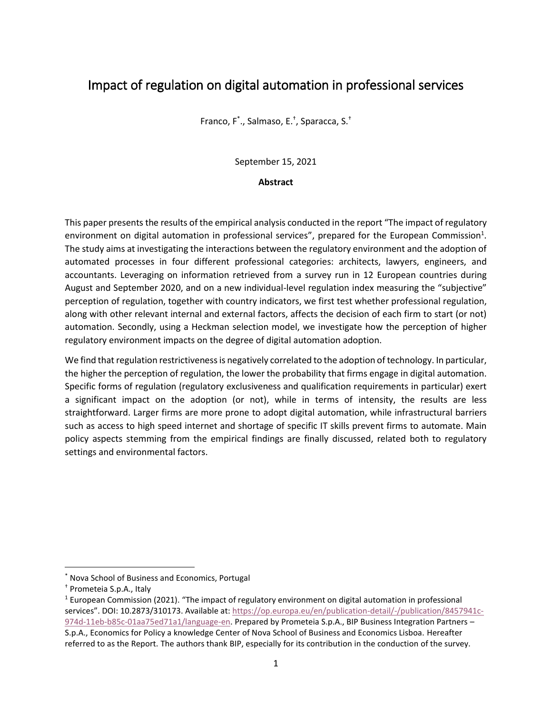## Impact of regulation on digital automation in professional services

Franco, F\* ., Salmaso, E.† , Sparacca, S.†

September 15, 2021

#### **Abstract**

This paper presents the results of the empirical analysis conducted in the report "The impact of regulatory environment on digital automation in professional services", prepared for the European Commission<sup>1</sup>. The study aims at investigating the interactions between the regulatory environment and the adoption of automated processes in four different professional categories: architects, lawyers, engineers, and accountants. Leveraging on information retrieved from a survey run in 12 European countries during August and September 2020, and on a new individual-level regulation index measuring the "subjective" perception of regulation, together with country indicators, we first test whether professional regulation, along with other relevant internal and external factors, affects the decision of each firm to start (or not) automation. Secondly, using a Heckman selection model, we investigate how the perception of higher regulatory environment impacts on the degree of digital automation adoption.

We find that regulation restrictiveness is negatively correlated to the adoption of technology. In particular, the higher the perception of regulation, the lower the probability that firms engage in digital automation. Specific forms of regulation (regulatory exclusiveness and qualification requirements in particular) exert a significant impact on the adoption (or not), while in terms of intensity, the results are less straightforward. Larger firms are more prone to adopt digital automation, while infrastructural barriers such as access to high speed internet and shortage of specific IT skills prevent firms to automate. Main policy aspects stemming from the empirical findings are finally discussed, related both to regulatory settings and environmental factors.

 $\overline{\phantom{a}}$ 

<sup>\*</sup> Nova School of Business and Economics, Portugal

<sup>†</sup> Prometeia S.p.A., Italy

 $1$  European Commission (2021). "The impact of regulatory environment on digital automation in professional services". DOI: 10.2873/310173. Available at: [https://op.europa.eu/en/publication-detail/-/publication/8457941c-](https://op.europa.eu/en/publication-detail/-/publication/8457941c-974d-11eb-b85c-01aa75ed71a1/language-en)[974d-11eb-b85c-01aa75ed71a1/language-en.](https://op.europa.eu/en/publication-detail/-/publication/8457941c-974d-11eb-b85c-01aa75ed71a1/language-en) Prepared by Prometeia S.p.A., BIP Business Integration Partners – S.p.A., Economics for Policy a knowledge Center of Nova School of Business and Economics Lisboa. Hereafter referred to as the Report. The authors thank BIP, especially for its contribution in the conduction of the survey.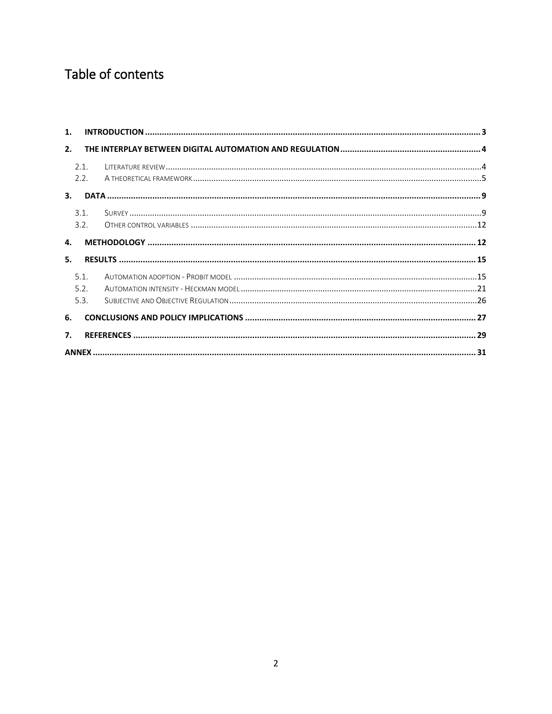# Table of contents

| 1.               |      |  |
|------------------|------|--|
| 2.               |      |  |
|                  | 2.1. |  |
| 3.               | 2.2. |  |
|                  | 3.1. |  |
|                  | 3.2. |  |
| 4.               |      |  |
| 5.               |      |  |
|                  | 5.1. |  |
|                  | 5.2. |  |
|                  | 5.3. |  |
| 6.               |      |  |
| $\overline{7}$ . |      |  |
|                  |      |  |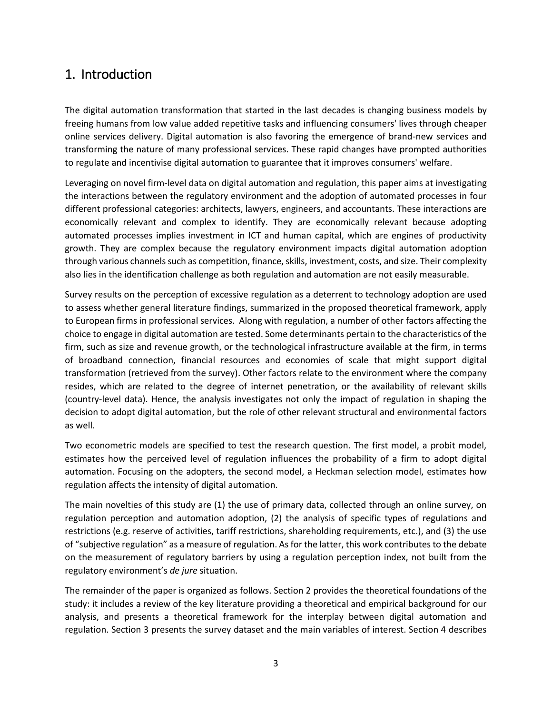## <span id="page-2-0"></span>1. Introduction

The digital automation transformation that started in the last decades is changing business models by freeing humans from low value added repetitive tasks and influencing consumers' lives through cheaper online services delivery. Digital automation is also favoring the emergence of brand-new services and transforming the nature of many professional services. These rapid changes have prompted authorities to regulate and incentivise digital automation to guarantee that it improves consumers' welfare.

Leveraging on novel firm-level data on digital automation and regulation, this paper aims at investigating the interactions between the regulatory environment and the adoption of automated processes in four different professional categories: architects, lawyers, engineers, and accountants. These interactions are economically relevant and complex to identify. They are economically relevant because adopting automated processes implies investment in ICT and human capital, which are engines of productivity growth. They are complex because the regulatory environment impacts digital automation adoption through various channels such as competition, finance, skills, investment, costs, and size. Their complexity also lies in the identification challenge as both regulation and automation are not easily measurable.

Survey results on the perception of excessive regulation as a deterrent to technology adoption are used to assess whether general literature findings, summarized in the proposed theoretical framework, apply to European firms in professional services. Along with regulation, a number of other factors affecting the choice to engage in digital automation are tested. Some determinants pertain to the characteristics of the firm, such as size and revenue growth, or the technological infrastructure available at the firm, in terms of broadband connection, financial resources and economies of scale that might support digital transformation (retrieved from the survey). Other factors relate to the environment where the company resides, which are related to the degree of internet penetration, or the availability of relevant skills (country-level data). Hence, the analysis investigates not only the impact of regulation in shaping the decision to adopt digital automation, but the role of other relevant structural and environmental factors as well.

Two econometric models are specified to test the research question. The first model, a probit model, estimates how the perceived level of regulation influences the probability of a firm to adopt digital automation. Focusing on the adopters, the second model, a Heckman selection model, estimates how regulation affects the intensity of digital automation.

The main novelties of this study are (1) the use of primary data, collected through an online survey, on regulation perception and automation adoption, (2) the analysis of specific types of regulations and restrictions (e.g. reserve of activities, tariff restrictions, shareholding requirements, etc.), and (3) the use of "subjective regulation" as a measure of regulation. As for the latter, this work contributes to the debate on the measurement of regulatory barriers by using a regulation perception index, not built from the regulatory environment's *de jure* situation.

The remainder of the paper is organized as follows. Section 2 provides the theoretical foundations of the study: it includes a review of the key literature providing a theoretical and empirical background for our analysis, and presents a theoretical framework for the interplay between digital automation and regulation. Section 3 presents the survey dataset and the main variables of interest. Section 4 describes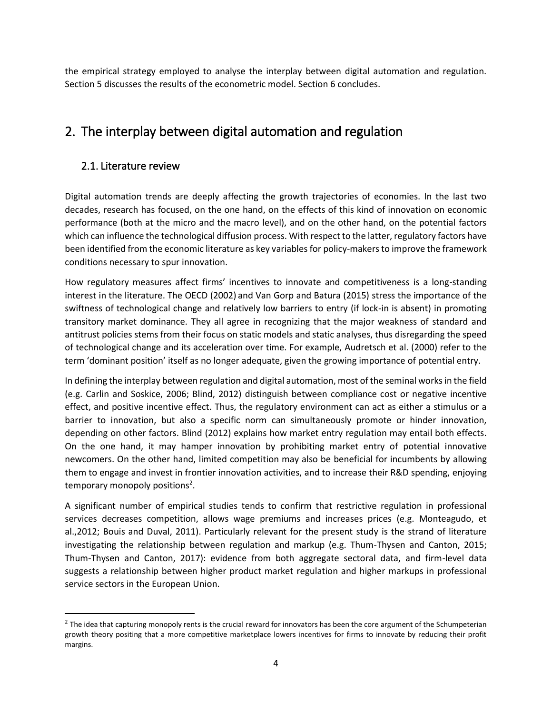the empirical strategy employed to analyse the interplay between digital automation and regulation. Section 5 discusses the results of the econometric model. Section 6 concludes.

## <span id="page-3-0"></span>2. The interplay between digital automation and regulation

### <span id="page-3-1"></span>2.1. Literature review

l

Digital automation trends are deeply affecting the growth trajectories of economies. In the last two decades, research has focused, on the one hand, on the effects of this kind of innovation on economic performance (both at the micro and the macro level), and on the other hand, on the potential factors which can influence the technological diffusion process. With respect to the latter, regulatory factors have been identified from the economic literature as key variables for policy-makers to improve the framework conditions necessary to spur innovation.

How regulatory measures affect firms' incentives to innovate and competitiveness is a long-standing interest in the literature. The OECD (2002) and Van Gorp and Batura (2015) stress the importance of the swiftness of technological change and relatively low barriers to entry (if lock-in is absent) in promoting transitory market dominance. They all agree in recognizing that the major weakness of standard and antitrust policies stems from their focus on static models and static analyses, thus disregarding the speed of technological change and its acceleration over time. For example, Audretsch et al. (2000) refer to the term 'dominant position' itself as no longer adequate, given the growing importance of potential entry.

In defining the interplay between regulation and digital automation, most of the seminal works in the field (e.g. Carlin and Soskice, 2006; Blind, 2012) distinguish between compliance cost or negative incentive effect, and positive incentive effect. Thus, the regulatory environment can act as either a stimulus or a barrier to innovation, but also a specific norm can simultaneously promote or hinder innovation, depending on other factors. Blind (2012) explains how market entry regulation may entail both effects. On the one hand, it may hamper innovation by prohibiting market entry of potential innovative newcomers. On the other hand, limited competition may also be beneficial for incumbents by allowing them to engage and invest in frontier innovation activities, and to increase their R&D spending, enjoying temporary monopoly positions<sup>2</sup>.

A significant number of empirical studies tends to confirm that restrictive regulation in professional services decreases competition, allows wage premiums and increases prices (e.g. Monteagudo, et al.,2012; Bouis and Duval, 2011). Particularly relevant for the present study is the strand of literature investigating the relationship between regulation and markup (e.g. Thum-Thysen and Canton, 2015; Thum-Thysen and Canton, 2017): evidence from both aggregate sectoral data, and firm-level data suggests a relationship between higher product market regulation and higher markups in professional service sectors in the European Union.

 $^2$  The idea that capturing monopoly rents is the crucial reward for innovators has been the core argument of the Schumpeterian growth theory positing that a more competitive marketplace lowers incentives for firms to innovate by reducing their profit margins.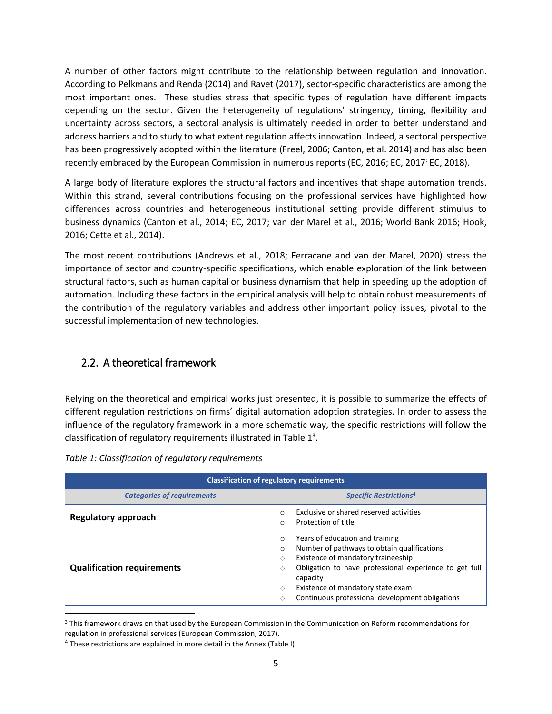A number of other factors might contribute to the relationship between regulation and innovation. According to Pelkmans and Renda (2014) and Ravet (2017), sector-specific characteristics are among the most important ones. These studies stress that specific types of regulation have different impacts depending on the sector. Given the heterogeneity of regulations' stringency, timing, flexibility and uncertainty across sectors, a sectoral analysis is ultimately needed in order to better understand and address barriers and to study to what extent regulation affects innovation. Indeed, a sectoral perspective has been progressively adopted within the literature (Freel, 2006; Canton, et al. 2014) and has also been recently embraced by the European Commission in numerous reports (EC, 2016; EC, 2017<sup>;</sup> EC, 2018).

A large body of literature explores the structural factors and incentives that shape automation trends. Within this strand, several contributions focusing on the professional services have highlighted how differences across countries and heterogeneous institutional setting provide different stimulus to business dynamics (Canton et al., 2014; EC, 2017; van der Marel et al., 2016; World Bank 2016; Hook, 2016; Cette et al., 2014).

The most recent contributions (Andrews et al., 2018; Ferracane and van der Marel, 2020) stress the importance of sector and country-specific specifications, which enable exploration of the link between structural factors, such as human capital or business dynamism that help in speeding up the adoption of automation. Including these factors in the empirical analysis will help to obtain robust measurements of the contribution of the regulatory variables and address other important policy issues, pivotal to the successful implementation of new technologies.

### <span id="page-4-0"></span>2.2. A theoretical framework

Relying on the theoretical and empirical works just presented, it is possible to summarize the effects of different regulation restrictions on firms' digital automation adoption strategies. In order to assess the influence of the regulatory framework in a more schematic way, the specific restrictions will follow the classification of regulatory requirements illustrated in Table  $1<sup>3</sup>$ .

|  |  |  | Table 1: Classification of regulatory requirements |
|--|--|--|----------------------------------------------------|
|--|--|--|----------------------------------------------------|

| <b>Classification of regulatory requirements</b> |                                                                                                                                                                                                                                                                                                                                                        |  |  |
|--------------------------------------------------|--------------------------------------------------------------------------------------------------------------------------------------------------------------------------------------------------------------------------------------------------------------------------------------------------------------------------------------------------------|--|--|
| <b>Categories of requirements</b>                | <b>Specific Restrictions4</b>                                                                                                                                                                                                                                                                                                                          |  |  |
| <b>Regulatory approach</b>                       | Exclusive or shared reserved activities<br>$\circ$<br>Protection of title<br>$\circ$                                                                                                                                                                                                                                                                   |  |  |
| <b>Qualification requirements</b>                | Years of education and training<br>$\Omega$<br>Number of pathways to obtain qualifications<br>$\circ$<br>Existence of mandatory traineeship<br>$\circ$<br>Obligation to have professional experience to get full<br>$\circ$<br>capacity<br>Existence of mandatory state exam<br>$\Omega$<br>Continuous professional development obligations<br>$\circ$ |  |  |

<sup>&</sup>lt;sup>3</sup> This framework draws on that used by the European Commission in the Communication on Reform recommendations for regulation in professional services (European Commission, 2017).

l

<sup>&</sup>lt;sup>4</sup> These restrictions are explained in more detail in the Annex (Table I)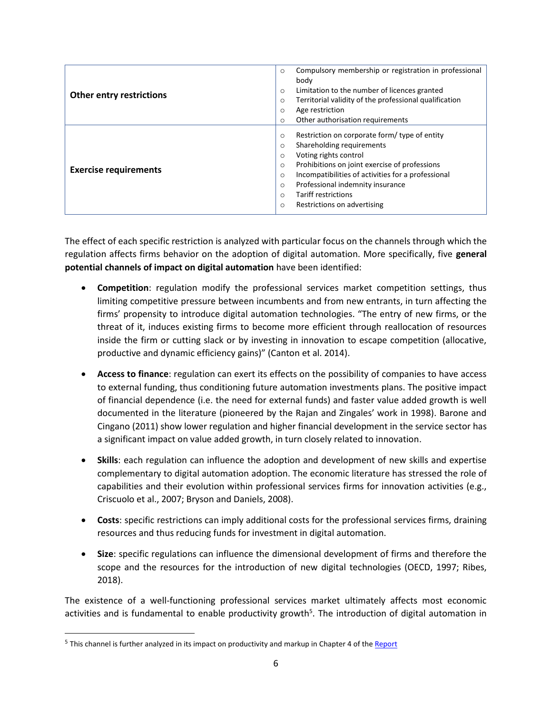|                                 | Compulsory membership or registration in professional<br>$\circ$  |
|---------------------------------|-------------------------------------------------------------------|
|                                 | body                                                              |
| <b>Other entry restrictions</b> | Limitation to the number of licences granted<br>$\circ$           |
|                                 | Territorial validity of the professional qualification<br>$\circ$ |
|                                 | Age restriction<br>$\circ$                                        |
|                                 | Other authorisation requirements<br>$\circ$                       |
|                                 | Restriction on corporate form/ type of entity<br>$\circ$          |
|                                 | Shareholding requirements<br>$\circ$                              |
|                                 | Voting rights control<br>$\circ$                                  |
|                                 | Prohibitions on joint exercise of professions<br>$\circ$          |
| <b>Exercise requirements</b>    | Incompatibilities of activities for a professional<br>$\circ$     |
|                                 | Professional indemnity insurance<br>$\circ$                       |
|                                 | Tariff restrictions<br>$\Omega$                                   |
|                                 | Restrictions on advertising<br>$\circ$                            |
|                                 |                                                                   |

The effect of each specific restriction is analyzed with particular focus on the channels through which the regulation affects firms behavior on the adoption of digital automation. More specifically, five **general potential channels of impact on digital automation** have been identified:

- **Competition**: regulation modify the professional services market competition settings, thus limiting competitive pressure between incumbents and from new entrants, in turn affecting the firms' propensity to introduce digital automation technologies. "The entry of new firms, or the threat of it, induces existing firms to become more efficient through reallocation of resources inside the firm or cutting slack or by investing in innovation to escape competition (allocative, productive and dynamic efficiency gains)" (Canton et al. 2014).
- **Access to finance**: regulation can exert its effects on the possibility of companies to have access to external funding, thus conditioning future automation investments plans. The positive impact of financial dependence (i.e. the need for external funds) and faster value added growth is well documented in the literature (pioneered by the Rajan and Zingales' work in 1998). Barone and Cingano (2011) show lower regulation and higher financial development in the service sector has a significant impact on value added growth, in turn closely related to innovation.
- **Skills**: each regulation can influence the adoption and development of new skills and expertise complementary to digital automation adoption. The economic literature has stressed the role of capabilities and their evolution within professional services firms for innovation activities (e.g., Criscuolo et al., 2007; Bryson and Daniels, 2008).
- **Costs**: specific restrictions can imply additional costs for the professional services firms, draining resources and thus reducing funds for investment in digital automation.
- **Size**: specific regulations can influence the dimensional development of firms and therefore the scope and the resources for the introduction of new digital technologies (OECD, 1997; Ribes, 2018).

The existence of a well-functioning professional services market ultimately affects most economic activities and is fundamental to enable productivity growth<sup>5</sup>. The introduction of digital automation in

 $\overline{\phantom{a}}$ 

<sup>&</sup>lt;sup>5</sup> This channel is further analyzed in its impact on productivity and markup in Chapter 4 of the **Report**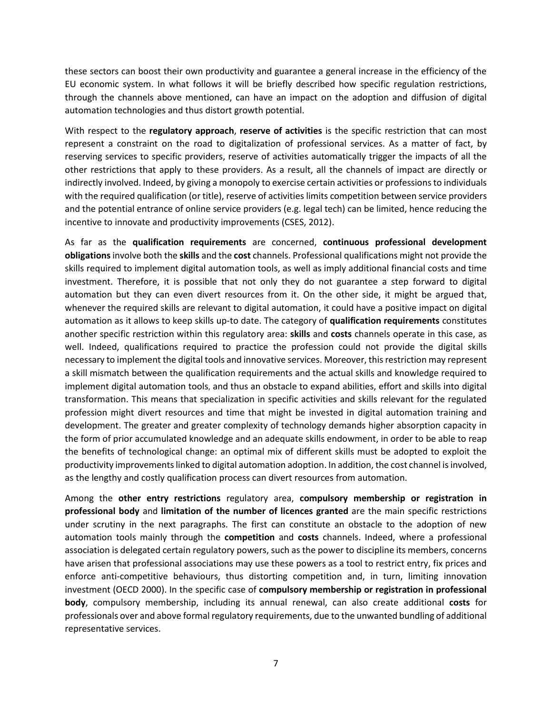these sectors can boost their own productivity and guarantee a general increase in the efficiency of the EU economic system. In what follows it will be briefly described how specific regulation restrictions, through the channels above mentioned, can have an impact on the adoption and diffusion of digital automation technologies and thus distort growth potential.

With respect to the **regulatory approach**, **reserve of activities** is the specific restriction that can most represent a constraint on the road to digitalization of professional services. As a matter of fact, by reserving services to specific providers, reserve of activities automatically trigger the impacts of all the other restrictions that apply to these providers. As a result, all the channels of impact are directly or indirectly involved. Indeed, by giving a monopoly to exercise certain activities or professions to individuals with the required qualification (or title), reserve of activities limits competition between service providers and the potential entrance of online service providers (e.g. legal tech) can be limited, hence reducing the incentive to innovate and productivity improvements (CSES, 2012).

As far as the **qualification requirements** are concerned, **continuous professional development obligations**involve both the **skills** and the **cost** channels. Professional qualifications might not provide the skills required to implement digital automation tools, as well as imply additional financial costs and time investment. Therefore, it is possible that not only they do not guarantee a step forward to digital automation but they can even divert resources from it. On the other side, it might be argued that, whenever the required skills are relevant to digital automation, it could have a positive impact on digital automation as it allows to keep skills up-to date. The category of **qualification requirements** constitutes another specific restriction within this regulatory area: **skills** and **costs** channels operate in this case, as well. Indeed, qualifications required to practice the profession could not provide the digital skills necessary to implement the digital tools and innovative services. Moreover, this restriction may represent a skill mismatch between the qualification requirements and the actual skills and knowledge required to implement digital automation tools, and thus an obstacle to expand abilities, effort and skills into digital transformation. This means that specialization in specific activities and skills relevant for the regulated profession might divert resources and time that might be invested in digital automation training and development. The greater and greater complexity of technology demands higher absorption capacity in the form of prior accumulated knowledge and an adequate skills endowment, in order to be able to reap the benefits of technological change: an optimal mix of different skills must be adopted to exploit the productivity improvements linked to digital automation adoption. In addition, the cost channel is involved, as the lengthy and costly qualification process can divert resources from automation.

Among the **other entry restrictions** regulatory area, **compulsory membership or registration in professional body** and **limitation of the number of licences granted** are the main specific restrictions under scrutiny in the next paragraphs. The first can constitute an obstacle to the adoption of new automation tools mainly through the **competition** and **costs** channels. Indeed, where a professional association is delegated certain regulatory powers, such as the power to discipline its members, concerns have arisen that professional associations may use these powers as a tool to restrict entry, fix prices and enforce anti-competitive behaviours, thus distorting competition and, in turn, limiting innovation investment (OECD 2000). In the specific case of **compulsory membership or registration in professional body**, compulsory membership, including its annual renewal, can also create additional **costs** for professionals over and above formal regulatory requirements, due to the unwanted bundling of additional representative services.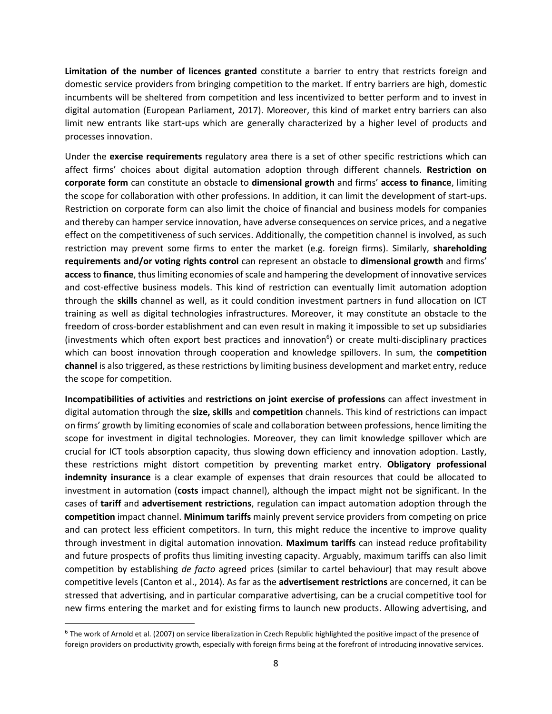**Limitation of the number of licences granted** constitute a barrier to entry that restricts foreign and domestic service providers from bringing competition to the market. If entry barriers are high, domestic incumbents will be sheltered from competition and less incentivized to better perform and to invest in digital automation (European Parliament, 2017). Moreover, this kind of market entry barriers can also limit new entrants like start-ups which are generally characterized by a higher level of products and processes innovation.

Under the **exercise requirements** regulatory area there is a set of other specific restrictions which can affect firms' choices about digital automation adoption through different channels. **Restriction on corporate form** can constitute an obstacle to **dimensional growth** and firms' **access to finance**, limiting the scope for collaboration with other professions. In addition, it can limit the development of start-ups. Restriction on corporate form can also limit the choice of financial and business models for companies and thereby can hamper service innovation, have adverse consequences on service prices, and a negative effect on the competitiveness of such services. Additionally, the competition channel is involved, as such restriction may prevent some firms to enter the market (e.g. foreign firms). Similarly, **shareholding requirements and/or voting rights control** can represent an obstacle to **dimensional growth** and firms' **access**to **finance**, thus limiting economies of scale and hampering the development of innovative services and cost-effective business models. This kind of restriction can eventually limit automation adoption through the **skills** channel as well, as it could condition investment partners in fund allocation on ICT training as well as digital technologies infrastructures. Moreover, it may constitute an obstacle to the freedom of cross-border establishment and can even result in making it impossible to set up subsidiaries (investments which often export best practices and innovation<sup>6</sup>) or create multi-disciplinary practices which can boost innovation through cooperation and knowledge spillovers. In sum, the **competition channel** is also triggered, as these restrictions by limiting business development and market entry, reduce the scope for competition.

**Incompatibilities of activities** and **restrictions on joint exercise of professions** can affect investment in digital automation through the **size, skills** and **competition** channels. This kind of restrictions can impact on firms' growth by limiting economies of scale and collaboration between professions, hence limiting the scope for investment in digital technologies. Moreover, they can limit knowledge spillover which are crucial for ICT tools absorption capacity, thus slowing down efficiency and innovation adoption. Lastly, these restrictions might distort competition by preventing market entry. **Obligatory professional indemnity insurance** is a clear example of expenses that drain resources that could be allocated to investment in automation (**costs** impact channel), although the impact might not be significant. In the cases of **tariff** and **advertisement restrictions**, regulation can impact automation adoption through the **competition** impact channel. **Minimum tariffs** mainly prevent service providers from competing on price and can protect less efficient competitors. In turn, this might reduce the incentive to improve quality through investment in digital automation innovation. **Maximum tariffs** can instead reduce profitability and future prospects of profits thus limiting investing capacity. Arguably, maximum tariffs can also limit competition by establishing *de facto* agreed prices (similar to cartel behaviour) that may result above competitive levels (Canton et al., 2014). As far as the **advertisement restrictions** are concerned, it can be stressed that advertising, and in particular comparative advertising, can be a crucial competitive tool for new firms entering the market and for existing firms to launch new products. Allowing advertising, and

 $\overline{\phantom{a}}$ 

<sup>&</sup>lt;sup>6</sup> The work of Arnold et al. (2007) on service liberalization in Czech Republic highlighted the positive impact of the presence of foreign providers on productivity growth, especially with foreign firms being at the forefront of introducing innovative services.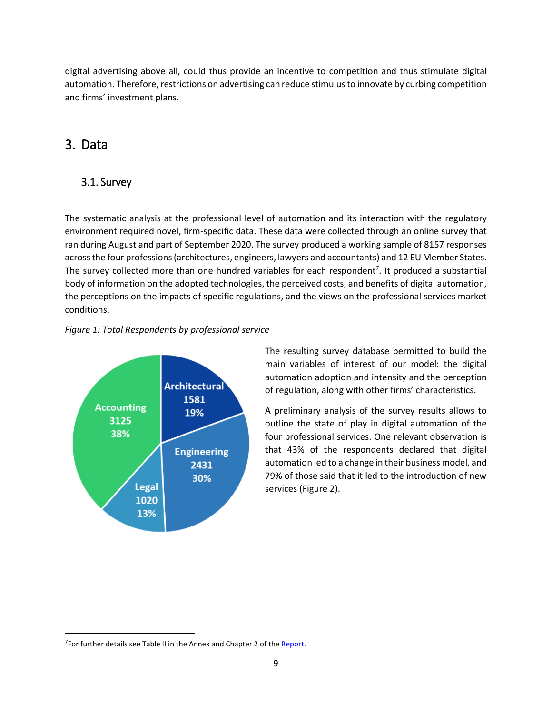digital advertising above all, could thus provide an incentive to competition and thus stimulate digital automation. Therefore, restrictions on advertising can reduce stimulus to innovate by curbing competition and firms' investment plans.

## <span id="page-8-0"></span>3. Data

 $\overline{\phantom{a}}$ 

## <span id="page-8-1"></span>3.1. Survey

The systematic analysis at the professional level of automation and its interaction with the regulatory environment required novel, firm-specific data. These data were collected through an online survey that ran during August and part of September 2020. The survey produced a working sample of 8157 responses across the four professions(architectures, engineers, lawyers and accountants) and 12 EU Member States. The survey collected more than one hundred variables for each respondent<sup>7</sup>. It produced a substantial body of information on the adopted technologies, the perceived costs, and benefits of digital automation, the perceptions on the impacts of specific regulations, and the views on the professional services market conditions.

### *Figure 1: Total Respondents by professional service*



The resulting survey database permitted to build the main variables of interest of our model: the digital automation adoption and intensity and the perception of regulation, along with other firms' characteristics.

A preliminary analysis of the survey results allows to outline the state of play in digital automation of the four professional services. One relevant observation is that 43% of the respondents declared that digital automation led to a change in their business model, and 79% of those said that it led to the introduction of new services (Figure 2).

<sup>&</sup>lt;sup>7</sup> For further details see Table II in the Annex and Chapter 2 of the **Report**.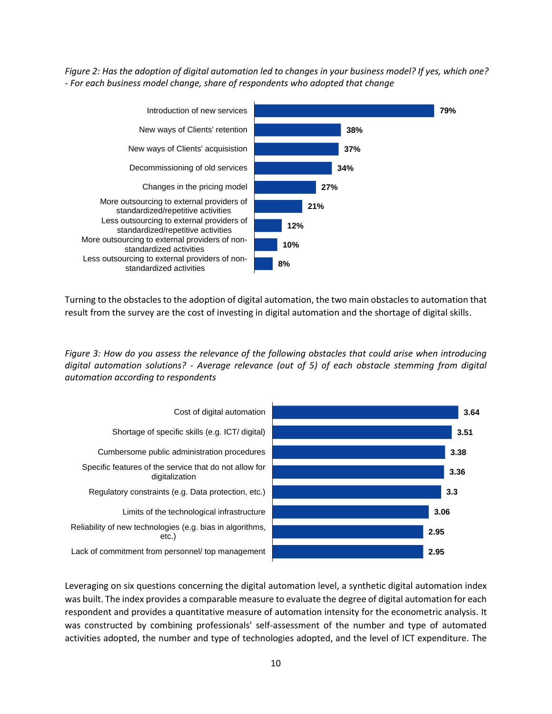*Figure 2: Has the adoption of digital automation led to changes in your business model? If yes, which one? - For each business model change, share of respondents who adopted that change*



Turning to the obstacles to the adoption of digital automation, the two main obstacles to automation that result from the survey are the cost of investing in digital automation and the shortage of digital skills.

*Figure 3: How do you assess the relevance of the following obstacles that could arise when introducing digital automation solutions? - Average relevance (out of 5) of each obstacle stemming from digital automation according to respondents*



Leveraging on six questions concerning the digital automation level, a synthetic digital automation index was built. The index provides a comparable measure to evaluate the degree of digital automation for each respondent and provides a quantitative measure of automation intensity for the econometric analysis. It was constructed by combining professionals' self-assessment of the number and type of automated activities adopted, the number and type of technologies adopted, and the level of ICT expenditure. The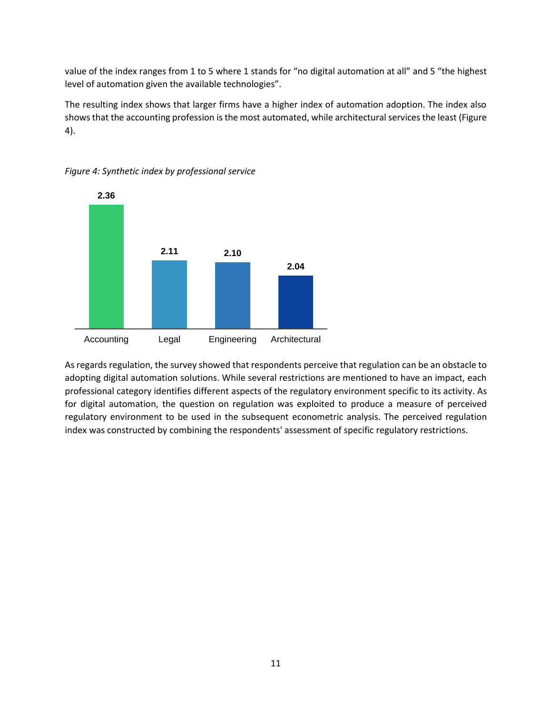value of the index ranges from 1 to 5 where 1 stands for "no digital automation at all" and 5 "the highest level of automation given the available technologies".

The resulting index shows that larger firms have a higher index of automation adoption. The index also shows that the accounting profession is the most automated, while architectural services the least (Figure 4).



*Figure 4: Synthetic index by professional service*

As regards regulation, the survey showed that respondents perceive that regulation can be an obstacle to adopting digital automation solutions. While several restrictions are mentioned to have an impact, each professional category identifies different aspects of the regulatory environment specific to its activity. As for digital automation, the question on regulation was exploited to produce a measure of perceived regulatory environment to be used in the subsequent econometric analysis. The perceived regulation index was constructed by combining the respondents' assessment of specific regulatory restrictions.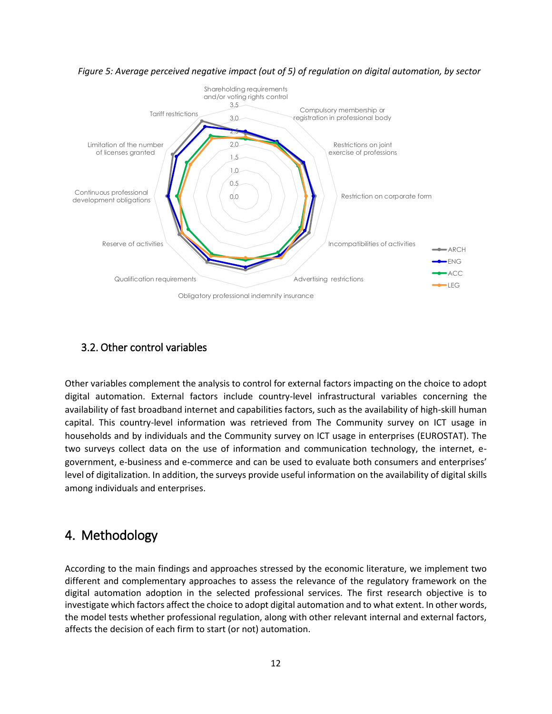

*Figure 5: Average perceived negative impact (out of 5) of regulation on digital automation, by sector*

### <span id="page-11-0"></span>3.2. Other control variables

Other variables complement the analysis to control for external factors impacting on the choice to adopt digital automation. External factors include country-level infrastructural variables concerning the availability of fast broadband internet and capabilities factors, such as the availability of high-skill human capital. This country-level information was retrieved from The Community survey on ICT usage in households and by individuals and the Community survey on ICT usage in enterprises (EUROSTAT). The two surveys collect data on the use of information and communication technology, the internet, egovernment, e-business and e-commerce and can be used to evaluate both consumers and enterprises' level of digitalization. In addition, the surveys provide useful information on the availability of digital skills among individuals and enterprises.

## <span id="page-11-1"></span>4. Methodology

According to the main findings and approaches stressed by the economic literature, we implement two different and complementary approaches to assess the relevance of the regulatory framework on the digital automation adoption in the selected professional services. The first research objective is to investigate which factors affect the choice to adopt digital automation and to what extent. In other words, the model tests whether professional regulation, along with other relevant internal and external factors, affects the decision of each firm to start (or not) automation.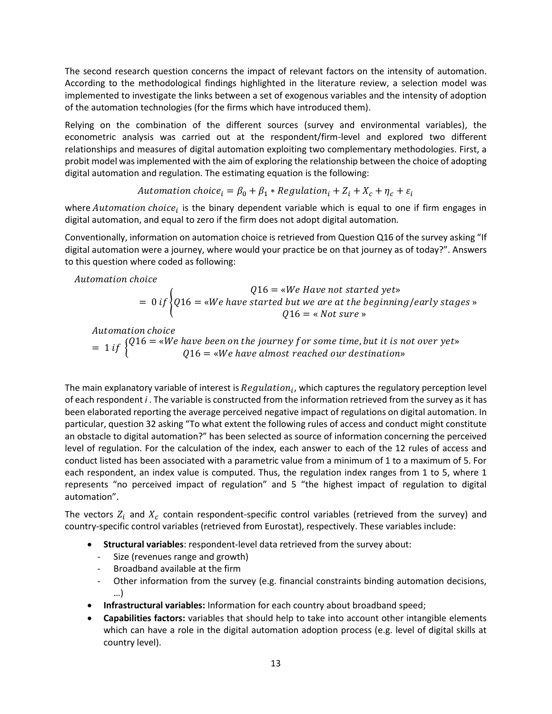The second research question concerns the impact of relevant factors on the intensity of automation. According to the methodological findings highlighted in the literature review, a selection model was implemented to investigate the links between a set of exogenous variables and the intensity of adoption of the automation technologies (for the firms which have introduced them).

Relying on the combination of the different sources (survey and environmental variables), the econometric analysis was carried out at the respondent/firm-level and explored two different relationships and measures of digital automation exploiting two complementary methodologies. First, a probit model wasimplemented with the aim of exploring the relationship between the choice of adopting digital automation and regulation. The estimating equation is the following:

$$
Automation choice_i = \beta_0 + \beta_1 * Regulation_i + Z_i + X_c + \eta_c + \varepsilon_i
$$

where  $Automation choice_i$  is the binary dependent variable which is equal to one if firm engages in digital automation, and equal to zero if the firm does not adopt digital automation*.*

Conventionally, information on automation choice is retrieved from Question Q16 of the survey asking "If digital automation were a journey, where would your practice be on that journey as of today?". Answers to this question where coded as following:

Automation choice

$$
Q16 = \text{wWe Have not started yet} = 0 if \begin{cases} Q16 = \text{wWe have started but we are at the beginning/early stages } \text{w} \\ Q16 = \text{wNot sure } \text{w} \end{cases}
$$

Automation choice

 $= 1$  if  $\{Q16 =$  «We have been on the journey for some time, but it is not over yet»<br> $Q16 =$   $\frac{dN}{dx}$  have almost reached our destinations  $Q16 =$  «We have almost reached our destination»

The main explanatory variable of interest is  $Regularian_i$ , which captures the regulatory perception level of each respondent *i* . The variable is constructed from the information retrieved from the survey as it has been elaborated reporting the average perceived negative impact of regulations on digital automation. In particular, question 32 asking "To what extent the following rules of access and conduct might constitute an obstacle to digital automation?" has been selected as source of information concerning the perceived level of regulation. For the calculation of the index, each answer to each of the 12 rules of access and conduct listed has been associated with a parametric value from a minimum of 1 to a maximum of 5. For each respondent, an index value is computed. Thus, the regulation index ranges from 1 to 5, where 1 represents "no perceived impact of regulation" and 5 "the highest impact of regulation to digital automation".

The vectors  $Z_i$  and  $X_c$  contain respondent-specific control variables (retrieved from the survey) and country-specific control variables (retrieved from Eurostat), respectively. These variables include:

- **Structural variables**: respondent-level data retrieved from the survey about:
	- Size (revenues range and growth)
	- Broadband available at the firm
	- Other information from the survey (e.g. financial constraints binding automation decisions, …)
- **Infrastructural variables:** Information for each country about broadband speed;
- **Capabilities factors:** variables that should help to take into account other intangible elements which can have a role in the digital automation adoption process (e.g. level of digital skills at country level).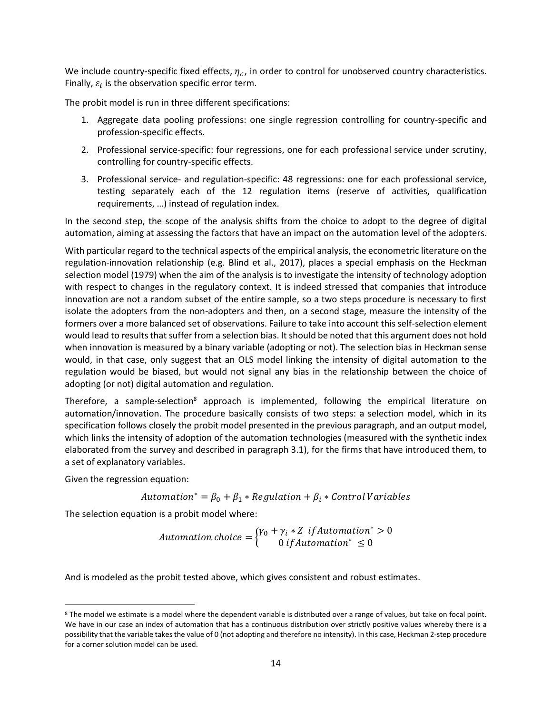We include country-specific fixed effects,  $\eta_c$ , in order to control for unobserved country characteristics. Finally,  $\varepsilon_i$  is the observation specific error term.

The probit model is run in three different specifications:

- 1. Aggregate data pooling professions: one single regression controlling for country-specific and profession-specific effects.
- 2. Professional service-specific: four regressions, one for each professional service under scrutiny, controlling for country-specific effects.
- 3. Professional service- and regulation-specific: 48 regressions: one for each professional service, testing separately each of the 12 regulation items (reserve of activities, qualification requirements, …) instead of regulation index.

In the second step, the scope of the analysis shifts from the choice to adopt to the degree of digital automation, aiming at assessing the factors that have an impact on the automation level of the adopters.

With particular regard to the technical aspects of the empirical analysis, the econometric literature on the regulation-innovation relationship (e.g. Blind et al., 2017), places a special emphasis on the Heckman selection model (1979) when the aim of the analysis is to investigate the intensity of technology adoption with respect to changes in the regulatory context. It is indeed stressed that companies that introduce innovation are not a random subset of the entire sample, so a two steps procedure is necessary to first isolate the adopters from the non-adopters and then, on a second stage, measure the intensity of the formers over a more balanced set of observations. Failure to take into account this self-selection element would lead to results that suffer from a selection bias. It should be noted that this argument does not hold when innovation is measured by a binary variable (adopting or not). The selection bias in Heckman sense would, in that case, only suggest that an OLS model linking the intensity of digital automation to the regulation would be biased, but would not signal any bias in the relationship between the choice of adopting (or not) digital automation and regulation.

Therefore, a sample-selection<sup>8</sup> approach is implemented, following the empirical literature on automation/innovation. The procedure basically consists of two steps: a selection model, which in its specification follows closely the probit model presented in the previous paragraph, and an output model, which links the intensity of adoption of the automation technologies (measured with the synthetic index elaborated from the survey and described in paragraph 3.1), for the firms that have introduced them, to a set of explanatory variables.

Given the regression equation:

 $\overline{\phantom{a}}$ 

Automation\* =  $\beta_0 + \beta_1 * \text{Regularian} + \beta_i * \text{Control Variables}$ 

The selection equation is a probit model where:

*Automation choice* = 
$$
\begin{cases} \gamma_0 + \gamma_i * Z & \text{if} \text{Automation}^* > 0\\ 0 & \text{if} \text{Automation}^* \leq 0 \end{cases}
$$

And is modeled as the probit tested above, which gives consistent and robust estimates.

<sup>&</sup>lt;sup>8</sup> The model we estimate is a model where the dependent variable is distributed over a range of values, but take on focal point. We have in our case an index of automation that has a continuous distribution over strictly positive values whereby there is a possibility that the variable takes the value of 0 (not adopting and therefore no intensity). In this case, Heckman 2-step procedure for a corner solution model can be used.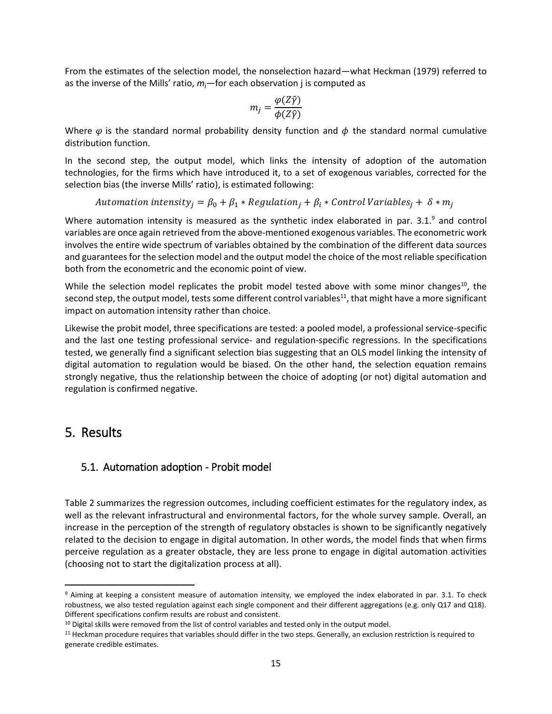From the estimates of the selection model, the nonselection hazard—what Heckman (1979) referred to as the inverse of the Mills' ratio, *m*j—for each observation j is computed as

$$
m_j = \frac{\varphi(Z\hat{\gamma})}{\phi(Z\hat{\gamma})}
$$

Where  $\varphi$  is the standard normal probability density function and  $\varphi$  the standard normal cumulative distribution function.

In the second step, the output model, which links the intensity of adoption of the automation technologies, for the firms which have introduced it, to a set of exogenous variables, corrected for the selection bias (the inverse Mills' ratio), is estimated following:

Automation intensity<sub>i</sub> =  $\beta_0 + \beta_1 * \text{Regularian} + \beta_i * \text{Control Variables}_i + \delta * m_i$ 

Where automation intensity is measured as the synthetic index elaborated in par.  $3.1<sup>9</sup>$  and control variables are once again retrieved from the above-mentioned exogenous variables. The econometric work involves the entire wide spectrum of variables obtained by the combination of the different data sources and guarantees for the selection model and the output model the choice of the most reliable specification both from the econometric and the economic point of view.

While the selection model replicates the probit model tested above with some minor changes<sup>10</sup>, the second step, the output model, tests some different control variables<sup>11</sup>, that might have a more significant impact on automation intensity rather than choice.

Likewise the probit model, three specifications are tested: a pooled model, a professional service-specific and the last one testing professional service- and regulation-specific regressions. In the specifications tested, we generally find a significant selection bias suggesting that an OLS model linking the intensity of digital automation to regulation would be biased. On the other hand, the selection equation remains strongly negative, thus the relationship between the choice of adopting (or not) digital automation and regulation is confirmed negative.

### <span id="page-14-0"></span>5. Results

 $\overline{\phantom{a}}$ 

### <span id="page-14-1"></span>5.1. Automation adoption - Probit model

Table 2 summarizes the regression outcomes, including coefficient estimates for the regulatory index, as well as the relevant infrastructural and environmental factors, for the whole survey sample. Overall, an increase in the perception of the strength of regulatory obstacles is shown to be significantly negatively related to the decision to engage in digital automation. In other words, the model finds that when firms perceive regulation as a greater obstacle, they are less prone to engage in digital automation activities (choosing not to start the digitalization process at all).

<sup>9</sup> Aiming at keeping a consistent measure of automation intensity, we employed the index elaborated in par. 3.1. To check robustness, we also tested regulation against each single component and their different aggregations (e.g. only Q17 and Q18). Different specifications confirm results are robust and consistent.

<sup>&</sup>lt;sup>10</sup> Digital skills were removed from the list of control variables and tested only in the output model.

<sup>11</sup> Heckman procedure requires that variables should differ in the two steps. Generally, an exclusion restriction is required to generate credible estimates.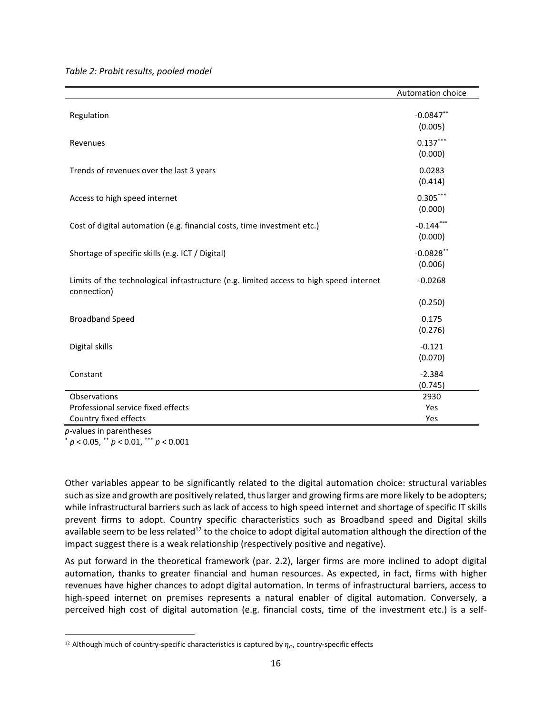*Table 2: Probit results, pooled model*

|                                                                                                       | Automation choice       |
|-------------------------------------------------------------------------------------------------------|-------------------------|
| Regulation                                                                                            | $-0.0847**$<br>(0.005)  |
| Revenues                                                                                              | $0.137***$<br>(0.000)   |
| Trends of revenues over the last 3 years                                                              | 0.0283<br>(0.414)       |
| Access to high speed internet                                                                         | $0.305***$<br>(0.000)   |
| Cost of digital automation (e.g. financial costs, time investment etc.)                               | $-0.144***$<br>(0.000)  |
| Shortage of specific skills (e.g. ICT / Digital)                                                      | $-0.0828$ **<br>(0.006) |
| Limits of the technological infrastructure (e.g. limited access to high speed internet<br>connection) | $-0.0268$               |
|                                                                                                       | (0.250)                 |
| <b>Broadband Speed</b>                                                                                | 0.175<br>(0.276)        |
| Digital skills                                                                                        | $-0.121$<br>(0.070)     |
| Constant                                                                                              | $-2.384$<br>(0.745)     |
| Observations                                                                                          | 2930                    |
| Professional service fixed effects                                                                    | Yes                     |
| Country fixed effects                                                                                 | Yes                     |

*p*-values in parentheses \* *p* < 0.05, \*\* *p* < 0.01, \*\*\* *p* < 0.001

 $\overline{a}$ 

Other variables appear to be significantly related to the digital automation choice: structural variables such as size and growth are positively related, thus larger and growing firms are more likely to be adopters; while infrastructural barriers such as lack of access to high speed internet and shortage of specific IT skills prevent firms to adopt. Country specific characteristics such as Broadband speed and Digital skills available seem to be less related<sup>12</sup> to the choice to adopt digital automation although the direction of the impact suggest there is a weak relationship (respectively positive and negative).

As put forward in the theoretical framework (par. 2.2), larger firms are more inclined to adopt digital automation, thanks to greater financial and human resources. As expected, in fact, firms with higher revenues have higher chances to adopt digital automation. In terms of infrastructural barriers, access to high-speed internet on premises represents a natural enabler of digital automation. Conversely, a perceived high cost of digital automation (e.g. financial costs, time of the investment etc.) is a self-

<sup>&</sup>lt;sup>12</sup> Although much of country-specific characteristics is captured by  $\eta_c$ , country-specific effects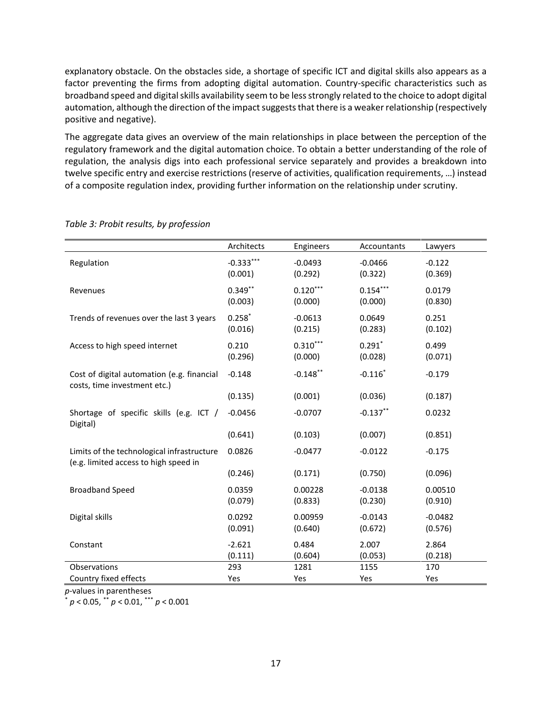explanatory obstacle. On the obstacles side, a shortage of specific ICT and digital skills also appears as a factor preventing the firms from adopting digital automation. Country-specific characteristics such as broadband speed and digital skills availability seem to be less strongly related to the choice to adopt digital automation, although the direction of the impact suggests that there is a weaker relationship (respectively positive and negative).

The aggregate data gives an overview of the main relationships in place between the perception of the regulatory framework and the digital automation choice. To obtain a better understanding of the role of regulation, the analysis digs into each professional service separately and provides a breakdown into twelve specific entry and exercise restrictions (reserve of activities, qualification requirements, …) instead of a composite regulation index, providing further information on the relationship under scrutiny.

|                                                                                     | Architects             | Engineers             | Accountants           | Lawyers              |
|-------------------------------------------------------------------------------------|------------------------|-----------------------|-----------------------|----------------------|
| Regulation                                                                          | $-0.333***$<br>(0.001) | $-0.0493$<br>(0.292)  | $-0.0466$<br>(0.322)  | $-0.122$<br>(0.369)  |
| Revenues                                                                            | $0.349**$<br>(0.003)   | $0.120***$<br>(0.000) | $0.154***$<br>(0.000) | 0.0179<br>(0.830)    |
| Trends of revenues over the last 3 years                                            | $0.258*$<br>(0.016)    | $-0.0613$<br>(0.215)  | 0.0649<br>(0.283)     | 0.251<br>(0.102)     |
| Access to high speed internet                                                       | 0.210<br>(0.296)       | $0.310***$<br>(0.000) | $0.291*$<br>(0.028)   | 0.499<br>(0.071)     |
| Cost of digital automation (e.g. financial<br>costs, time investment etc.)          | $-0.148$               | $-0.148$ **           | $-0.116$              | $-0.179$             |
|                                                                                     | (0.135)                | (0.001)               | (0.036)               | (0.187)              |
| Shortage of specific skills (e.g. ICT /<br>Digital)                                 | $-0.0456$              | $-0.0707$             | $-0.137***$           | 0.0232               |
|                                                                                     | (0.641)                | (0.103)               | (0.007)               | (0.851)              |
| Limits of the technological infrastructure<br>(e.g. limited access to high speed in | 0.0826                 | $-0.0477$             | $-0.0122$             | $-0.175$             |
|                                                                                     | (0.246)                | (0.171)               | (0.750)               | (0.096)              |
| <b>Broadband Speed</b>                                                              | 0.0359<br>(0.079)      | 0.00228<br>(0.833)    | $-0.0138$<br>(0.230)  | 0.00510<br>(0.910)   |
| Digital skills                                                                      | 0.0292<br>(0.091)      | 0.00959<br>(0.640)    | $-0.0143$<br>(0.672)  | $-0.0482$<br>(0.576) |
| Constant                                                                            | $-2.621$<br>(0.111)    | 0.484<br>(0.604)      | 2.007<br>(0.053)      | 2.864<br>(0.218)     |
| Observations                                                                        | 293                    | 1281                  | 1155                  | 170                  |
| Country fixed effects                                                               | Yes                    | Yes                   | Yes                   | Yes                  |

*Table 3: Probit results, by profession*

*p*-values in parentheses

\* *p* < 0.05, \*\* *p* < 0.01, \*\*\* *p* < 0.001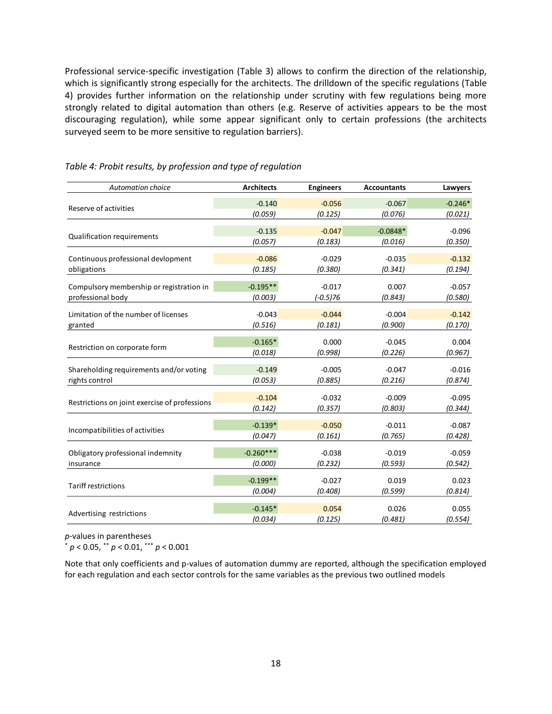Professional service-specific investigation (Table 3) allows to confirm the direction of the relationship, which is significantly strong especially for the architects. The drilldown of the specific regulations (Table 4) provides further information on the relationship under scrutiny with few regulations being more strongly related to digital automation than others (e.g. Reserve of activities appears to be the most discouraging regulation), while some appear significant only to certain professions (the architects surveyed seem to be more sensitive to regulation barriers).

| $-0.140$<br>$-0.246*$<br>$-0.056$<br>$-0.067$<br>Reserve of activities<br>(0.059)<br>(0.125)<br>(0.076)<br>(0.021)<br>$-0.135$<br>$-0.047$<br>$-0.0848*$<br>$-0.096$<br><b>Qualification requirements</b><br>(0.057)<br>(0.183)<br>(0.350)<br>(0.016)<br>$-0.086$<br>$-0.132$<br>Continuous professional devlopment<br>$-0.029$<br>$-0.035$<br>(0.185)<br>obligations<br>(0.380)<br>(0.341)<br>(0.194)<br>$-0.195**$<br>$-0.017$<br>Compulsory membership or registration in<br>0.007<br>$-0.057$<br>professional body<br>$(-0.5)76$<br>(0.003)<br>(0.843)<br>(0.580)<br>Limitation of the number of licenses<br>$-0.043$<br>$-0.044$<br>$-0.004$<br>$-0.142$<br>(0.516)<br>(0.181)<br>(0.900)<br>(0.170)<br>granted<br>$-0.165*$<br>0.000<br>$-0.045$<br>0.004<br>Restriction on corporate form<br>(0.998)<br>(0.018)<br>(0.226)<br>(0.967)<br>$-0.149$<br>Shareholding requirements and/or voting<br>$-0.005$<br>$-0.047$<br>$-0.016$<br>rights control<br>(0.053)<br>(0.874)<br>(0.885)<br>(0.216)<br>$-0.104$<br>$-0.032$<br>$-0.009$<br>$-0.095$<br>Restrictions on joint exercise of professions<br>(0.142)<br>(0.357)<br>(0.803)<br>(0.344)<br>$-0.139*$<br>$-0.050$<br>$-0.011$<br>$-0.087$<br>Incompatibilities of activities<br>(0.161)<br>(0.765)<br>(0.428)<br>(0.047)<br>$-0.260***$<br>Obligatory professional indemnity<br>$-0.038$<br>$-0.019$<br>$-0.059$<br>(0.000)<br>(0.232)<br>(0.593)<br>(0.542)<br>insurance<br>$-0.199**$<br>$-0.027$<br>0.019<br>0.023<br><b>Tariff restrictions</b><br>(0.004)<br>(0.408)<br>(0.599)<br>(0.814)<br>$-0.145*$<br>0.054<br>0.026<br>0.055<br>Advertising restrictions | <b>Automation choice</b> | <b>Architects</b> | <b>Engineers</b> | <b>Accountants</b> | Lawyers |
|-------------------------------------------------------------------------------------------------------------------------------------------------------------------------------------------------------------------------------------------------------------------------------------------------------------------------------------------------------------------------------------------------------------------------------------------------------------------------------------------------------------------------------------------------------------------------------------------------------------------------------------------------------------------------------------------------------------------------------------------------------------------------------------------------------------------------------------------------------------------------------------------------------------------------------------------------------------------------------------------------------------------------------------------------------------------------------------------------------------------------------------------------------------------------------------------------------------------------------------------------------------------------------------------------------------------------------------------------------------------------------------------------------------------------------------------------------------------------------------------------------------------------------------------------------------------------------------------------------------------------------|--------------------------|-------------------|------------------|--------------------|---------|
|                                                                                                                                                                                                                                                                                                                                                                                                                                                                                                                                                                                                                                                                                                                                                                                                                                                                                                                                                                                                                                                                                                                                                                                                                                                                                                                                                                                                                                                                                                                                                                                                                               |                          |                   |                  |                    |         |
|                                                                                                                                                                                                                                                                                                                                                                                                                                                                                                                                                                                                                                                                                                                                                                                                                                                                                                                                                                                                                                                                                                                                                                                                                                                                                                                                                                                                                                                                                                                                                                                                                               |                          |                   |                  |                    |         |
|                                                                                                                                                                                                                                                                                                                                                                                                                                                                                                                                                                                                                                                                                                                                                                                                                                                                                                                                                                                                                                                                                                                                                                                                                                                                                                                                                                                                                                                                                                                                                                                                                               |                          |                   |                  |                    |         |
|                                                                                                                                                                                                                                                                                                                                                                                                                                                                                                                                                                                                                                                                                                                                                                                                                                                                                                                                                                                                                                                                                                                                                                                                                                                                                                                                                                                                                                                                                                                                                                                                                               |                          |                   |                  |                    |         |
|                                                                                                                                                                                                                                                                                                                                                                                                                                                                                                                                                                                                                                                                                                                                                                                                                                                                                                                                                                                                                                                                                                                                                                                                                                                                                                                                                                                                                                                                                                                                                                                                                               |                          |                   |                  |                    |         |
|                                                                                                                                                                                                                                                                                                                                                                                                                                                                                                                                                                                                                                                                                                                                                                                                                                                                                                                                                                                                                                                                                                                                                                                                                                                                                                                                                                                                                                                                                                                                                                                                                               |                          |                   |                  |                    |         |
|                                                                                                                                                                                                                                                                                                                                                                                                                                                                                                                                                                                                                                                                                                                                                                                                                                                                                                                                                                                                                                                                                                                                                                                                                                                                                                                                                                                                                                                                                                                                                                                                                               |                          |                   |                  |                    |         |
|                                                                                                                                                                                                                                                                                                                                                                                                                                                                                                                                                                                                                                                                                                                                                                                                                                                                                                                                                                                                                                                                                                                                                                                                                                                                                                                                                                                                                                                                                                                                                                                                                               |                          |                   |                  |                    |         |
|                                                                                                                                                                                                                                                                                                                                                                                                                                                                                                                                                                                                                                                                                                                                                                                                                                                                                                                                                                                                                                                                                                                                                                                                                                                                                                                                                                                                                                                                                                                                                                                                                               |                          |                   |                  |                    |         |
|                                                                                                                                                                                                                                                                                                                                                                                                                                                                                                                                                                                                                                                                                                                                                                                                                                                                                                                                                                                                                                                                                                                                                                                                                                                                                                                                                                                                                                                                                                                                                                                                                               |                          |                   |                  |                    |         |
|                                                                                                                                                                                                                                                                                                                                                                                                                                                                                                                                                                                                                                                                                                                                                                                                                                                                                                                                                                                                                                                                                                                                                                                                                                                                                                                                                                                                                                                                                                                                                                                                                               |                          |                   |                  |                    |         |
|                                                                                                                                                                                                                                                                                                                                                                                                                                                                                                                                                                                                                                                                                                                                                                                                                                                                                                                                                                                                                                                                                                                                                                                                                                                                                                                                                                                                                                                                                                                                                                                                                               |                          |                   |                  |                    |         |
|                                                                                                                                                                                                                                                                                                                                                                                                                                                                                                                                                                                                                                                                                                                                                                                                                                                                                                                                                                                                                                                                                                                                                                                                                                                                                                                                                                                                                                                                                                                                                                                                                               |                          |                   |                  |                    |         |
|                                                                                                                                                                                                                                                                                                                                                                                                                                                                                                                                                                                                                                                                                                                                                                                                                                                                                                                                                                                                                                                                                                                                                                                                                                                                                                                                                                                                                                                                                                                                                                                                                               |                          |                   |                  |                    |         |
|                                                                                                                                                                                                                                                                                                                                                                                                                                                                                                                                                                                                                                                                                                                                                                                                                                                                                                                                                                                                                                                                                                                                                                                                                                                                                                                                                                                                                                                                                                                                                                                                                               |                          |                   |                  |                    |         |
|                                                                                                                                                                                                                                                                                                                                                                                                                                                                                                                                                                                                                                                                                                                                                                                                                                                                                                                                                                                                                                                                                                                                                                                                                                                                                                                                                                                                                                                                                                                                                                                                                               |                          |                   |                  |                    |         |
|                                                                                                                                                                                                                                                                                                                                                                                                                                                                                                                                                                                                                                                                                                                                                                                                                                                                                                                                                                                                                                                                                                                                                                                                                                                                                                                                                                                                                                                                                                                                                                                                                               |                          |                   |                  |                    |         |
|                                                                                                                                                                                                                                                                                                                                                                                                                                                                                                                                                                                                                                                                                                                                                                                                                                                                                                                                                                                                                                                                                                                                                                                                                                                                                                                                                                                                                                                                                                                                                                                                                               |                          |                   |                  |                    |         |
|                                                                                                                                                                                                                                                                                                                                                                                                                                                                                                                                                                                                                                                                                                                                                                                                                                                                                                                                                                                                                                                                                                                                                                                                                                                                                                                                                                                                                                                                                                                                                                                                                               |                          |                   |                  |                    |         |
|                                                                                                                                                                                                                                                                                                                                                                                                                                                                                                                                                                                                                                                                                                                                                                                                                                                                                                                                                                                                                                                                                                                                                                                                                                                                                                                                                                                                                                                                                                                                                                                                                               |                          |                   |                  |                    |         |
|                                                                                                                                                                                                                                                                                                                                                                                                                                                                                                                                                                                                                                                                                                                                                                                                                                                                                                                                                                                                                                                                                                                                                                                                                                                                                                                                                                                                                                                                                                                                                                                                                               |                          |                   |                  |                    |         |
|                                                                                                                                                                                                                                                                                                                                                                                                                                                                                                                                                                                                                                                                                                                                                                                                                                                                                                                                                                                                                                                                                                                                                                                                                                                                                                                                                                                                                                                                                                                                                                                                                               |                          |                   |                  |                    |         |
|                                                                                                                                                                                                                                                                                                                                                                                                                                                                                                                                                                                                                                                                                                                                                                                                                                                                                                                                                                                                                                                                                                                                                                                                                                                                                                                                                                                                                                                                                                                                                                                                                               |                          |                   |                  |                    |         |
|                                                                                                                                                                                                                                                                                                                                                                                                                                                                                                                                                                                                                                                                                                                                                                                                                                                                                                                                                                                                                                                                                                                                                                                                                                                                                                                                                                                                                                                                                                                                                                                                                               |                          |                   |                  |                    |         |
|                                                                                                                                                                                                                                                                                                                                                                                                                                                                                                                                                                                                                                                                                                                                                                                                                                                                                                                                                                                                                                                                                                                                                                                                                                                                                                                                                                                                                                                                                                                                                                                                                               |                          |                   |                  |                    |         |
|                                                                                                                                                                                                                                                                                                                                                                                                                                                                                                                                                                                                                                                                                                                                                                                                                                                                                                                                                                                                                                                                                                                                                                                                                                                                                                                                                                                                                                                                                                                                                                                                                               |                          |                   |                  |                    |         |
|                                                                                                                                                                                                                                                                                                                                                                                                                                                                                                                                                                                                                                                                                                                                                                                                                                                                                                                                                                                                                                                                                                                                                                                                                                                                                                                                                                                                                                                                                                                                                                                                                               |                          |                   |                  |                    |         |
|                                                                                                                                                                                                                                                                                                                                                                                                                                                                                                                                                                                                                                                                                                                                                                                                                                                                                                                                                                                                                                                                                                                                                                                                                                                                                                                                                                                                                                                                                                                                                                                                                               |                          | (0.034)           | (0.125)          | (0.481)            | (0.554) |

#### *Table 4: Probit results, by profession and type of regulation*

*p*-values in parentheses

\* *p* < 0.05, \*\* *p* < 0.01, \*\*\* *p* < 0.001

Note that only coefficients and p-values of automation dummy are reported, although the specification employed for each regulation and each sector controls for the same variables as the previous two outlined models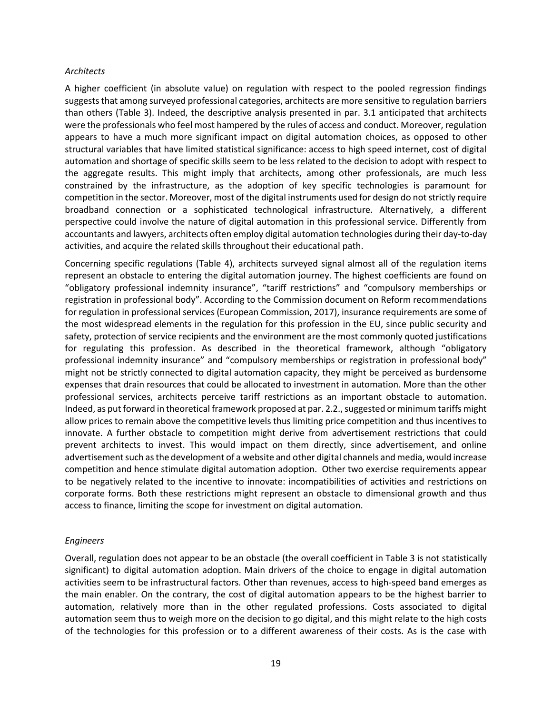#### *Architects*

A higher coefficient (in absolute value) on regulation with respect to the pooled regression findings suggests that among surveyed professional categories, architects are more sensitive to regulation barriers than others (Table 3). Indeed, the descriptive analysis presented in par. 3.1 anticipated that architects were the professionals who feel most hampered by the rules of access and conduct. Moreover, regulation appears to have a much more significant impact on digital automation choices, as opposed to other structural variables that have limited statistical significance: access to high speed internet, cost of digital automation and shortage of specific skills seem to be less related to the decision to adopt with respect to the aggregate results. This might imply that architects, among other professionals, are much less constrained by the infrastructure, as the adoption of key specific technologies is paramount for competition in the sector. Moreover, most of the digital instruments used for design do not strictly require broadband connection or a sophisticated technological infrastructure. Alternatively, a different perspective could involve the nature of digital automation in this professional service. Differently from accountants and lawyers, architects often employ digital automation technologies during their day-to-day activities, and acquire the related skills throughout their educational path.

Concerning specific regulations (Table 4), architects surveyed signal almost all of the regulation items represent an obstacle to entering the digital automation journey. The highest coefficients are found on "obligatory professional indemnity insurance", "tariff restrictions" and "compulsory memberships or registration in professional body". According to the Commission document on Reform recommendations for regulation in professional services (European Commission, 2017), insurance requirements are some of the most widespread elements in the regulation for this profession in the EU, since public security and safety, protection of service recipients and the environment are the most commonly quoted justifications for regulating this profession. As described in the theoretical framework, although "obligatory professional indemnity insurance" and "compulsory memberships or registration in professional body" might not be strictly connected to digital automation capacity, they might be perceived as burdensome expenses that drain resources that could be allocated to investment in automation. More than the other professional services, architects perceive tariff restrictions as an important obstacle to automation. Indeed, as put forward in theoretical framework proposed at par. 2.2., suggested or minimum tariffs might allow prices to remain above the competitive levels thus limiting price competition and thus incentives to innovate. A further obstacle to competition might derive from advertisement restrictions that could prevent architects to invest. This would impact on them directly, since advertisement, and online advertisement such as the development of a website and other digital channels and media, would increase competition and hence stimulate digital automation adoption. Other two exercise requirements appear to be negatively related to the incentive to innovate: incompatibilities of activities and restrictions on corporate forms. Both these restrictions might represent an obstacle to dimensional growth and thus access to finance, limiting the scope for investment on digital automation.

#### *Engineers*

Overall, regulation does not appear to be an obstacle (the overall coefficient in Table 3 is not statistically significant) to digital automation adoption. Main drivers of the choice to engage in digital automation activities seem to be infrastructural factors. Other than revenues, access to high-speed band emerges as the main enabler. On the contrary, the cost of digital automation appears to be the highest barrier to automation, relatively more than in the other regulated professions. Costs associated to digital automation seem thus to weigh more on the decision to go digital, and this might relate to the high costs of the technologies for this profession or to a different awareness of their costs. As is the case with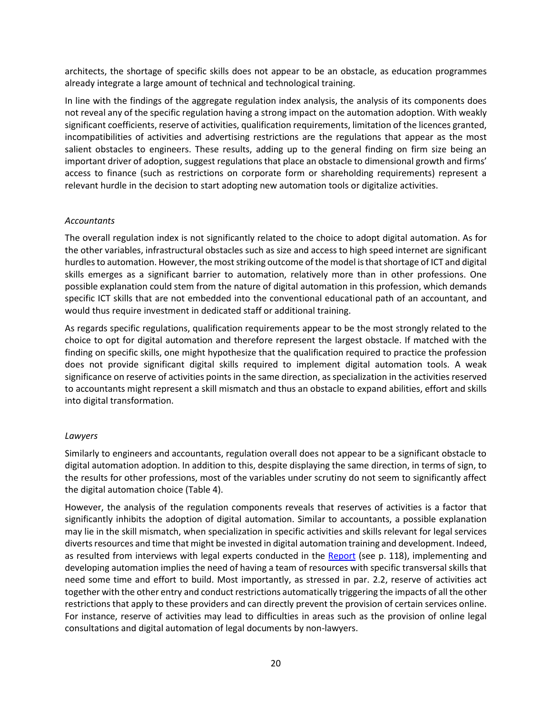architects, the shortage of specific skills does not appear to be an obstacle, as education programmes already integrate a large amount of technical and technological training.

In line with the findings of the aggregate regulation index analysis, the analysis of its components does not reveal any of the specific regulation having a strong impact on the automation adoption. With weakly significant coefficients, reserve of activities, qualification requirements, limitation of the licences granted, incompatibilities of activities and advertising restrictions are the regulations that appear as the most salient obstacles to engineers. These results, adding up to the general finding on firm size being an important driver of adoption, suggest regulations that place an obstacle to dimensional growth and firms' access to finance (such as restrictions on corporate form or shareholding requirements) represent a relevant hurdle in the decision to start adopting new automation tools or digitalize activities.

#### *Accountants*

The overall regulation index is not significantly related to the choice to adopt digital automation. As for the other variables, infrastructural obstacles such as size and access to high speed internet are significant hurdles to automation. However, the most striking outcome of the model is that shortage of ICT and digital skills emerges as a significant barrier to automation, relatively more than in other professions. One possible explanation could stem from the nature of digital automation in this profession, which demands specific ICT skills that are not embedded into the conventional educational path of an accountant, and would thus require investment in dedicated staff or additional training.

As regards specific regulations, qualification requirements appear to be the most strongly related to the choice to opt for digital automation and therefore represent the largest obstacle. If matched with the finding on specific skills, one might hypothesize that the qualification required to practice the profession does not provide significant digital skills required to implement digital automation tools. A weak significance on reserve of activities points in the same direction, as specialization in the activities reserved to accountants might represent a skill mismatch and thus an obstacle to expand abilities, effort and skills into digital transformation.

#### *Lawyers*

Similarly to engineers and accountants, regulation overall does not appear to be a significant obstacle to digital automation adoption. In addition to this, despite displaying the same direction, in terms of sign, to the results for other professions, most of the variables under scrutiny do not seem to significantly affect the digital automation choice (Table 4).

However, the analysis of the regulation components reveals that reserves of activities is a factor that significantly inhibits the adoption of digital automation. Similar to accountants, a possible explanation may lie in the skill mismatch, when specialization in specific activities and skills relevant for legal services diverts resources and time that might be invested in digital automation training and development. Indeed, as resulted from interviews with legal experts conducted in the [Report](https://op.europa.eu/en/publication-detail/-/publication/8457941c-974d-11eb-b85c-01aa75ed71a1/language-en) (see p. 118), implementing and developing automation implies the need of having a team of resources with specific transversal skills that need some time and effort to build. Most importantly, as stressed in par. 2.2, reserve of activities act together with the other entry and conduct restrictions automatically triggering the impacts of all the other restrictions that apply to these providers and can directly prevent the provision of certain services online. For instance, reserve of activities may lead to difficulties in areas such as the provision of online legal consultations and digital automation of legal documents by non-lawyers.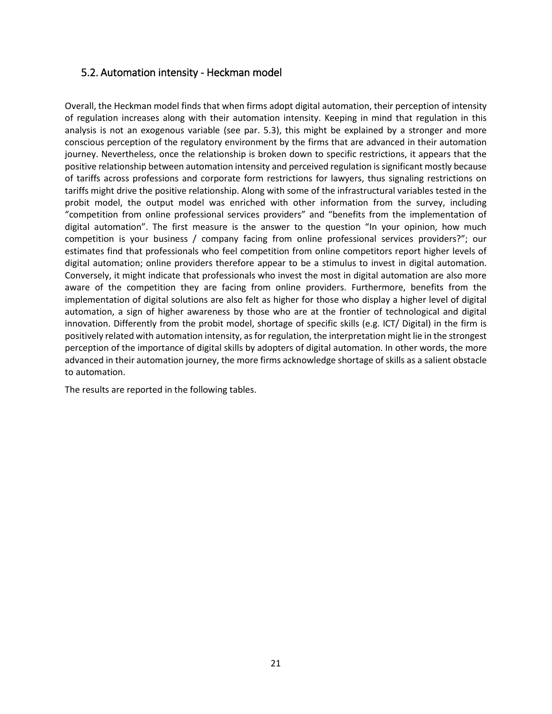### <span id="page-20-0"></span>5.2. Automation intensity - Heckman model

Overall, the Heckman model finds that when firms adopt digital automation, their perception of intensity of regulation increases along with their automation intensity. Keeping in mind that regulation in this analysis is not an exogenous variable (see par. 5.3), this might be explained by a stronger and more conscious perception of the regulatory environment by the firms that are advanced in their automation journey. Nevertheless, once the relationship is broken down to specific restrictions, it appears that the positive relationship between automation intensity and perceived regulation is significant mostly because of tariffs across professions and corporate form restrictions for lawyers, thus signaling restrictions on tariffs might drive the positive relationship. Along with some of the infrastructural variables tested in the probit model, the output model was enriched with other information from the survey, including "competition from online professional services providers" and "benefits from the implementation of digital automation". The first measure is the answer to the question "In your opinion, how much competition is your business / company facing from online professional services providers?"; our estimates find that professionals who feel competition from online competitors report higher levels of digital automation; online providers therefore appear to be a stimulus to invest in digital automation. Conversely, it might indicate that professionals who invest the most in digital automation are also more aware of the competition they are facing from online providers. Furthermore, benefits from the implementation of digital solutions are also felt as higher for those who display a higher level of digital automation, a sign of higher awareness by those who are at the frontier of technological and digital innovation. Differently from the probit model, shortage of specific skills (e.g. ICT/ Digital) in the firm is positively related with automation intensity, as for regulation, the interpretation might lie in the strongest perception of the importance of digital skills by adopters of digital automation. In other words, the more advanced in their automation journey, the more firms acknowledge shortage of skills as a salient obstacle to automation.

The results are reported in the following tables.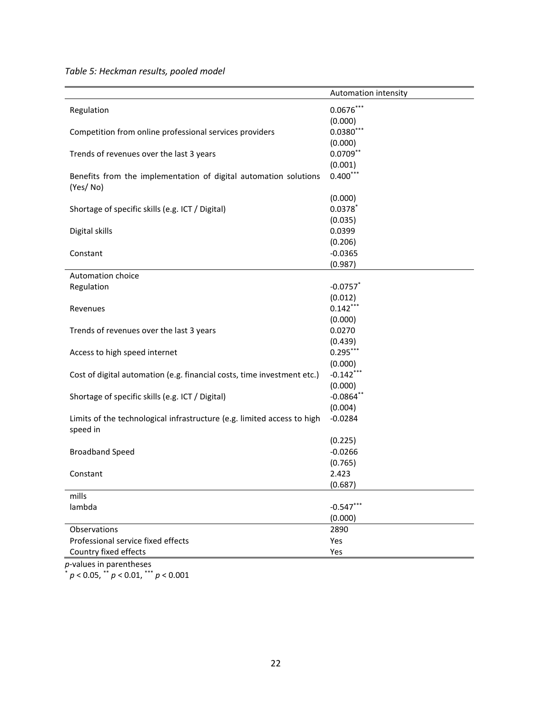*Table 5: Heckman results, pooled model*

|                                                                         | Automation intensity |
|-------------------------------------------------------------------------|----------------------|
| Regulation                                                              | $0.0676***$          |
|                                                                         | (0.000)              |
| Competition from online professional services providers                 | $0.0380***$          |
|                                                                         | (0.000)              |
| Trends of revenues over the last 3 years                                | $0.0709**$           |
|                                                                         | (0.001)              |
| Benefits from the implementation of digital automation solutions        | $0.400***$           |
| (Yes/No)                                                                |                      |
|                                                                         | (0.000)              |
| Shortage of specific skills (e.g. ICT / Digital)                        | $0.0378*$            |
|                                                                         | (0.035)              |
| Digital skills                                                          | 0.0399               |
|                                                                         | (0.206)              |
| Constant                                                                | $-0.0365$            |
|                                                                         | (0.987)              |
| Automation choice                                                       |                      |
| Regulation                                                              | $-0.0757$ *          |
|                                                                         | (0.012)              |
| Revenues                                                                | $0.142***$           |
|                                                                         | (0.000)              |
| Trends of revenues over the last 3 years                                | 0.0270               |
|                                                                         | (0.439)              |
| Access to high speed internet                                           | $0.295***$           |
|                                                                         | (0.000)              |
| Cost of digital automation (e.g. financial costs, time investment etc.) | $-0.142***$          |
|                                                                         | (0.000)              |
| Shortage of specific skills (e.g. ICT / Digital)                        | $-0.0864$ **         |
|                                                                         | (0.004)              |
| Limits of the technological infrastructure (e.g. limited access to high | $-0.0284$            |
| speed in                                                                |                      |
|                                                                         | (0.225)              |
| <b>Broadband Speed</b>                                                  | $-0.0266$            |
|                                                                         | (0.765)              |
| Constant                                                                | 2.423                |
|                                                                         | (0.687)              |
| mills                                                                   |                      |
| lambda                                                                  | $-0.547**$           |
|                                                                         | (0.000)              |
| Observations                                                            | 2890                 |
| Professional service fixed effects                                      | Yes                  |
| Country fixed effects                                                   | Yes                  |

*p*-values in parentheses \* *p* < 0.05, \*\* *p* < 0.01, \*\*\* *p* < 0.001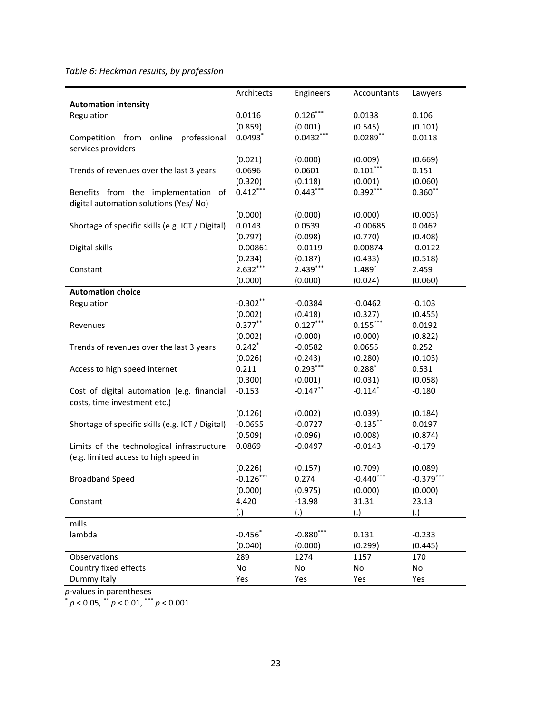*Table 6: Heckman results, by profession*

|                                                  | Architects  | Engineers              | Accountants           | Lawyers     |
|--------------------------------------------------|-------------|------------------------|-----------------------|-------------|
| <b>Automation intensity</b>                      |             |                        |                       |             |
| Regulation                                       | 0.0116      | $0.126***$             | 0.0138                | 0.106       |
|                                                  | (0.859)     | (0.001)                | (0.545)               | (0.101)     |
| Competition from online<br>professional          | $0.0493*$   | $0.0432***$            | $0.0289$ **           | 0.0118      |
| services providers                               |             |                        |                       |             |
|                                                  | (0.021)     | (0.000)                | (0.009)               | (0.669)     |
| Trends of revenues over the last 3 years         | 0.0696      | 0.0601                 | $0.101***$            | 0.151       |
|                                                  | (0.320)     | (0.118)                | (0.001)               | (0.060)     |
| Benefits from the implementation of              | $0.412***$  | $0.443***$             | $0.392***$            | $0.360**$   |
| digital automation solutions (Yes/No)            |             |                        |                       |             |
|                                                  | (0.000)     | (0.000)                | (0.000)               | (0.003)     |
| Shortage of specific skills (e.g. ICT / Digital) | 0.0143      | 0.0539                 | $-0.00685$            | 0.0462      |
|                                                  | (0.797)     | (0.098)                | (0.770)               | (0.408)     |
| Digital skills                                   | $-0.00861$  | $-0.0119$              | 0.00874               | $-0.0122$   |
|                                                  | (0.234)     | (0.187)                | (0.433)               | (0.518)     |
| Constant                                         | $2.632***$  | 2.439***               | 1.489*                | 2.459       |
|                                                  | (0.000)     | (0.000)                | (0.024)               | (0.060)     |
| <b>Automation choice</b>                         |             |                        |                       |             |
| Regulation                                       | $-0.302**$  | $-0.0384$              | $-0.0462$             | $-0.103$    |
|                                                  | (0.002)     | (0.418)                | (0.327)               | (0.455)     |
| Revenues                                         | $0.377***$  | $0.127***$             | $0.155***$            | 0.0192      |
|                                                  | (0.002)     | (0.000)                | (0.000)               | (0.822)     |
| Trends of revenues over the last 3 years         | $0.242*$    | $-0.0582$              | 0.0655                | 0.252       |
|                                                  | (0.026)     | (0.243)                | (0.280)               | (0.103)     |
|                                                  | 0.211       | $0.293***$             | $0.288*$              | 0.531       |
| Access to high speed internet                    |             |                        | (0.031)               |             |
|                                                  | (0.300)     | (0.001)<br>$-0.147$ ** | $-0.114$ <sup>*</sup> | (0.058)     |
| Cost of digital automation (e.g. financial       | $-0.153$    |                        |                       | $-0.180$    |
| costs, time investment etc.)                     |             |                        |                       |             |
|                                                  | (0.126)     | (0.002)                | (0.039)               | (0.184)     |
| Shortage of specific skills (e.g. ICT / Digital) | $-0.0655$   | $-0.0727$              | $-0.135***$           | 0.0197      |
|                                                  | (0.509)     | (0.096)                | (0.008)               | (0.874)     |
| Limits of the technological infrastructure       | 0.0869      | $-0.0497$              | $-0.0143$             | $-0.179$    |
| (e.g. limited access to high speed in            |             |                        |                       |             |
|                                                  | (0.226)     | (0.157)                | (0.709)               | (0.089)     |
| <b>Broadband Speed</b>                           | $-0.126***$ | 0.274                  | $-0.440***$           | $-0.379***$ |
|                                                  | (0.000)     | (0.975)                | (0.000)               | (0.000)     |
| Constant                                         | 4.420       | $-13.98$               | 31.31                 | 23.13       |
|                                                  | (.)         | (.)                    | (.)                   | (.)         |
| mills                                            |             |                        |                       |             |
| lambda                                           | $-0.456*$   | $-0.880***$            | 0.131                 | $-0.233$    |
|                                                  | (0.040)     | (0.000)                | (0.299)               | (0.445)     |
| Observations                                     | 289         | 1274                   | 1157                  | 170         |
| Country fixed effects                            | No          | No                     | No                    | No          |
| Dummy Italy                                      | Yes         | Yes                    | Yes                   | Yes         |

*p*-values in parentheses

\* *p* < 0.05, \*\* *p* < 0.01, \*\*\* *p* < 0.001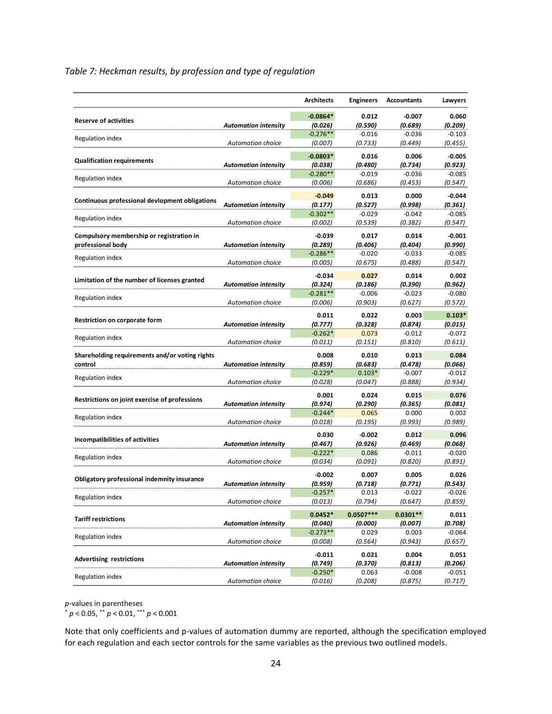### *Table 7: Heckman results, by profession and type of regulation*

|                                                |                             | <b>Architects</b> | <b>Engineers</b> | <b>Accountants</b> | Lawyers  |
|------------------------------------------------|-----------------------------|-------------------|------------------|--------------------|----------|
| <b>Reserve of activities</b>                   |                             | $-0.0864*$        | 0.012            | $-0.007$           | 0.060    |
|                                                | <b>Automation intensity</b> | (0.026)           | (0.590)          | (0.689)            | (0.209)  |
|                                                |                             | $-0.276**$        | $-0.016$         | $-0.036$           | $-0.103$ |
| Regulation index                               | <b>Automation choice</b>    | (0.007)           | (0.733)          | (0.449)            | (0.455)  |
|                                                |                             | $-0.0803*$        | 0.016            | 0.006              | $-0.005$ |
| <b>Qualification requirements</b>              | <b>Automation intensity</b> | (0.038)           | (0.480)          | (0.734)            | (0.923)  |
|                                                |                             | $-0.280**$        | $-0.019$         | $-0.036$           | $-0.085$ |
| <b>Regulation index</b>                        | Automation choice           | (0.006)           | (0.686)          | (0.453)            | (0.547)  |
|                                                |                             |                   |                  |                    |          |
| Continuous professional devlopment obligations |                             | $-0.049$          | 0.013            | 0.000              | $-0.044$ |
|                                                | <b>Automation intensity</b> | (0.177)           | (0.527)          | (0.998)            | (0.361)  |
| Regulation index                               |                             | $-0.302**$        | $-0.029$         | $-0.042$           | $-0.085$ |
|                                                | Automation choice           | (0.002)           | (0.539)          | (0.382)            | (0.547)  |
| Compulsory membership or registration in       |                             | $-0.039$          | 0.017            | 0.014              | $-0.001$ |
| professional body                              | <b>Automation intensity</b> | (0.289)           | (0.406)          | (0.404)            | (0.990)  |
|                                                |                             | $-0.286**$        | $-0.020$         | $-0.033$           | $-0.085$ |
| <b>Regulation index</b>                        | <b>Automation choice</b>    | (0.005)           | (0.675)          | (0.488)            | (0.547)  |
|                                                |                             |                   |                  |                    |          |
| Limitation of the number of licenses granted   |                             | $-0.034$          | 0.027            | 0.014              | 0.002    |
|                                                | <b>Automation intensity</b> | (0.324)           | (0.186)          | (0.390)            | (0.962)  |
| Regulation index                               |                             | $-0.281**$        | $-0.006$         | $-0.023$           | $-0.080$ |
|                                                | Automation choice           | (0.006)           | (0.903)          | (0.627)            | (0.572)  |
|                                                |                             | 0.011             | 0.022            | 0.003              | $0.103*$ |
| Restriction on corporate form                  | <b>Automation intensity</b> | (0.777)           | (0.328)          | (0.874)            | (0.015)  |
|                                                |                             | $-0.262*$         | 0.073            | $-0.012$           | $-0.072$ |
| <b>Regulation index</b>                        | <b>Automation choice</b>    | (0.011)           | (0.151)          | (0.810)            | (0.611)  |
|                                                |                             | 0.008             | 0.010            | 0.013              | 0.084    |
| Shareholding requirements and/or voting rights |                             | (0.859)           | (0.683)          | (0.478)            | (0.066)  |
| control                                        | <b>Automation intensity</b> | $-0.229*$         | $0.103*$         | $-0.007$           | $-0.012$ |
| Regulation index                               | Automation choice           |                   |                  |                    | (0.934)  |
|                                                |                             | (0.028)           | (0.047)          | (0.888)            |          |
| Restrictions on joint exercise of professions  |                             | 0.001             | 0.024            | 0.015              | 0.076    |
|                                                | <b>Automation intensity</b> | (0.974)           | (0.290)          | (0.365)            | (0.081)  |
| <b>Regulation index</b>                        |                             | $-0.244*$         | 0.065            | 0.000              | 0.002    |
|                                                | Automation choice           | (0.018)           | (0.195)          | (0.993)            | (0.989)  |
|                                                |                             | 0.030             | $-0.002$         | 0.012              | 0.096    |
| Incompatibilities of activities                | <b>Automation intensity</b> | (0.467)           | (0.926)          | (0.469)            | (0.068)  |
|                                                |                             | $-0.222*$         | 0.086            | $-0.011$           | $-0.020$ |
| Regulation index                               | Automation choice           | (0.034)           | (0.091)          | (0.820)            | (0.891)  |
|                                                |                             |                   |                  |                    |          |
| Obligatory professional indemnity insurance    |                             | $-0.002$          | 0.007            | 0.005              | 0.026    |
|                                                | <b>Automation intensity</b> | (0.959)           | (0.718)          | (0.771)            | (0.543)  |
| Regulation index                               |                             | $-0.257*$         | 0.013            | $-0.022$           | -0.026   |
|                                                | Automation choice           | (0.013)           | (0.794)          | (0.647)            | (0.859)  |
|                                                |                             | $0.0452*$         | $0.0507***$      | $0.0301**$         | 0.011    |
| <b>Tariff restrictions</b>                     | <b>Automation intensity</b> | (0.040)           | (0.000)          | (0.007)            | (0.708)  |
|                                                |                             | $-0.273**$        | 0.029            | 0.003              | $-0.064$ |
| <b>Regulation index</b>                        | Automation choice           | (0.008)           | (0.564)          | (0.943)            | (0.657)  |
|                                                |                             |                   |                  |                    |          |
| <b>Advertising restrictions</b>                |                             | $-0.011$          | 0.021            | 0.004              | 0.051    |
|                                                | <b>Automation intensity</b> | (0.749)           | (0.370)          | (0.813)            | (0.206)  |
| <b>Regulation index</b>                        |                             | $-0.250*$         | 0.063            | $-0.008$           | $-0.051$ |
|                                                | Automation choice           | (0.016)           | (0.208)          | (0.875)            | (0.717)  |

*p*-values in parentheses

\* *p* < 0.05, \*\* *p* < 0.01, \*\*\* *p* < 0.001

Note that only coefficients and p-values of automation dummy are reported, although the specification employed for each regulation and each sector controls for the same variables as the previous two outlined models.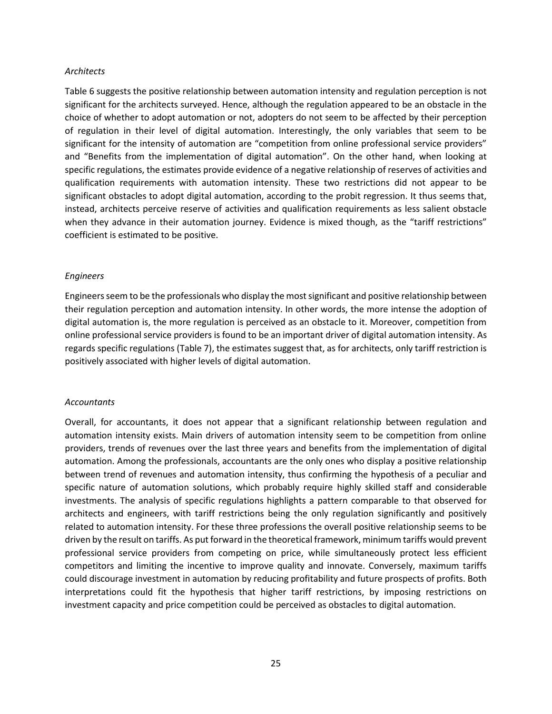#### *Architects*

Table 6 suggests the positive relationship between automation intensity and regulation perception is not significant for the architects surveyed. Hence, although the regulation appeared to be an obstacle in the choice of whether to adopt automation or not, adopters do not seem to be affected by their perception of regulation in their level of digital automation. Interestingly, the only variables that seem to be significant for the intensity of automation are "competition from online professional service providers" and "Benefits from the implementation of digital automation". On the other hand, when looking at specific regulations, the estimates provide evidence of a negative relationship of reserves of activities and qualification requirements with automation intensity. These two restrictions did not appear to be significant obstacles to adopt digital automation, according to the probit regression. It thus seems that, instead, architects perceive reserve of activities and qualification requirements as less salient obstacle when they advance in their automation journey. Evidence is mixed though, as the "tariff restrictions" coefficient is estimated to be positive.

#### *Engineers*

Engineers seem to be the professionals who display the most significant and positive relationship between their regulation perception and automation intensity. In other words, the more intense the adoption of digital automation is, the more regulation is perceived as an obstacle to it. Moreover, competition from online professional service providers is found to be an important driver of digital automation intensity. As regards specific regulations (Table 7), the estimates suggest that, as for architects, only tariff restriction is positively associated with higher levels of digital automation.

#### *Accountants*

Overall, for accountants, it does not appear that a significant relationship between regulation and automation intensity exists. Main drivers of automation intensity seem to be competition from online providers, trends of revenues over the last three years and benefits from the implementation of digital automation. Among the professionals, accountants are the only ones who display a positive relationship between trend of revenues and automation intensity, thus confirming the hypothesis of a peculiar and specific nature of automation solutions, which probably require highly skilled staff and considerable investments. The analysis of specific regulations highlights a pattern comparable to that observed for architects and engineers, with tariff restrictions being the only regulation significantly and positively related to automation intensity. For these three professions the overall positive relationship seems to be driven by the result on tariffs. As put forward in the theoretical framework, minimum tariffs would prevent professional service providers from competing on price, while simultaneously protect less efficient competitors and limiting the incentive to improve quality and innovate. Conversely, maximum tariffs could discourage investment in automation by reducing profitability and future prospects of profits. Both interpretations could fit the hypothesis that higher tariff restrictions, by imposing restrictions on investment capacity and price competition could be perceived as obstacles to digital automation.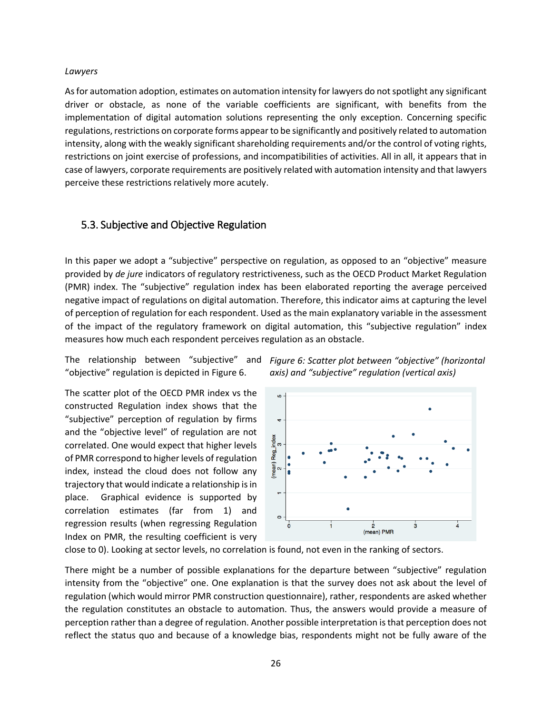#### *Lawyers*

As for automation adoption, estimates on automation intensity for lawyers do not spotlight any significant driver or obstacle, as none of the variable coefficients are significant, with benefits from the implementation of digital automation solutions representing the only exception. Concerning specific regulations, restrictions on corporate forms appear to be significantly and positively related to automation intensity, along with the weakly significant shareholding requirements and/or the control of voting rights, restrictions on joint exercise of professions, and incompatibilities of activities. All in all, it appears that in case of lawyers, corporate requirements are positively related with automation intensity and that lawyers perceive these restrictions relatively more acutely.

### <span id="page-25-0"></span>5.3. Subjective and Objective Regulation

In this paper we adopt a "subjective" perspective on regulation, as opposed to an "objective" measure provided by *de jure* indicators of regulatory restrictiveness, such as the OECD Product Market Regulation (PMR) index. The "subjective" regulation index has been elaborated reporting the average perceived negative impact of regulations on digital automation. Therefore, this indicator aims at capturing the level of perception of regulation for each respondent. Used as the main explanatory variable in the assessment of the impact of the regulatory framework on digital automation, this "subjective regulation" index measures how much each respondent perceives regulation as an obstacle.

The relationship between "subjective" and "objective" regulation is depicted in Figure 6.

The scatter plot of the OECD PMR index vs the constructed Regulation index shows that the "subjective" perception of regulation by firms and the "objective level" of regulation are not correlated. One would expect that higher levels of PMR correspond to higher levels of regulation index, instead the cloud does not follow any trajectory that would indicate a relationship is in place. Graphical evidence is supported by correlation estimates (far from 1) and regression results (when regressing Regulation Index on PMR, the resulting coefficient is very *Figure 6: Scatter plot between "objective" (horizontal axis) and "subjective" regulation (vertical axis)*



close to 0). Looking at sector levels, no correlation is found, not even in the ranking of sectors.

There might be a number of possible explanations for the departure between "subjective" regulation intensity from the "objective" one. One explanation is that the survey does not ask about the level of regulation (which would mirror PMR construction questionnaire), rather, respondents are asked whether the regulation constitutes an obstacle to automation. Thus, the answers would provide a measure of perception rather than a degree of regulation. Another possible interpretation is that perception does not reflect the status quo and because of a knowledge bias, respondents might not be fully aware of the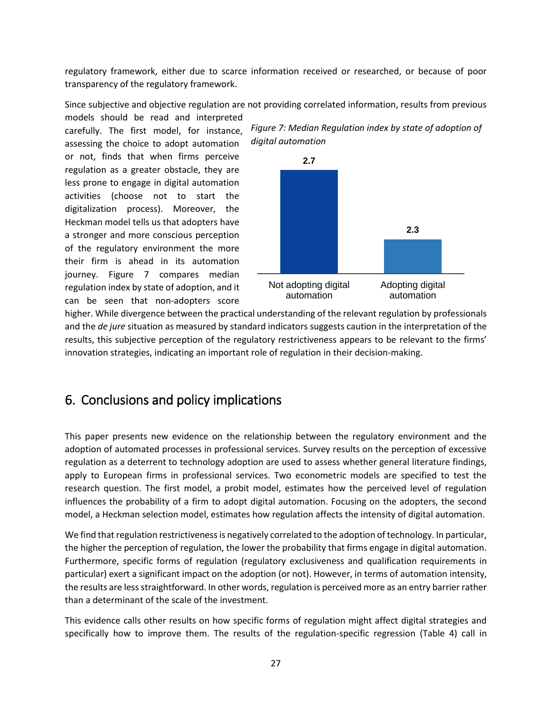regulatory framework, either due to scarce information received or researched, or because of poor transparency of the regulatory framework.

Since subjective and objective regulation are not providing correlated information, results from previous

models should be read and interpreted carefully. The first model, for instance, assessing the choice to adopt automation or not, finds that when firms perceive regulation as a greater obstacle, they are less prone to engage in digital automation activities (choose not to start the digitalization process). Moreover, the Heckman model tells us that adopters have a stronger and more conscious perception of the regulatory environment the more their firm is ahead in its automation journey. Figure 7 compares median regulation index by state of adoption, and it can be seen that non-adopters score



*Figure 7: Median Regulation index by state of adoption of* 

higher. While divergence between the practical understanding of the relevant regulation by professionals and the *de jure* situation as measured by standard indicators suggests caution in the interpretation of the results, this subjective perception of the regulatory restrictiveness appears to be relevant to the firms' innovation strategies, indicating an important role of regulation in their decision-making.

## <span id="page-26-0"></span>6. Conclusions and policy implications

This paper presents new evidence on the relationship between the regulatory environment and the adoption of automated processes in professional services. Survey results on the perception of excessive regulation as a deterrent to technology adoption are used to assess whether general literature findings, apply to European firms in professional services. Two econometric models are specified to test the research question. The first model, a probit model, estimates how the perceived level of regulation influences the probability of a firm to adopt digital automation. Focusing on the adopters, the second model, a Heckman selection model, estimates how regulation affects the intensity of digital automation.

We find that regulation restrictiveness is negatively correlated to the adoption of technology. In particular, the higher the perception of regulation, the lower the probability that firms engage in digital automation. Furthermore, specific forms of regulation (regulatory exclusiveness and qualification requirements in particular) exert a significant impact on the adoption (or not). However, in terms of automation intensity, the results are less straightforward. In other words, regulation is perceived more as an entry barrier rather than a determinant of the scale of the investment.

This evidence calls other results on how specific forms of regulation might affect digital strategies and specifically how to improve them. The results of the regulation-specific regression (Table 4) call in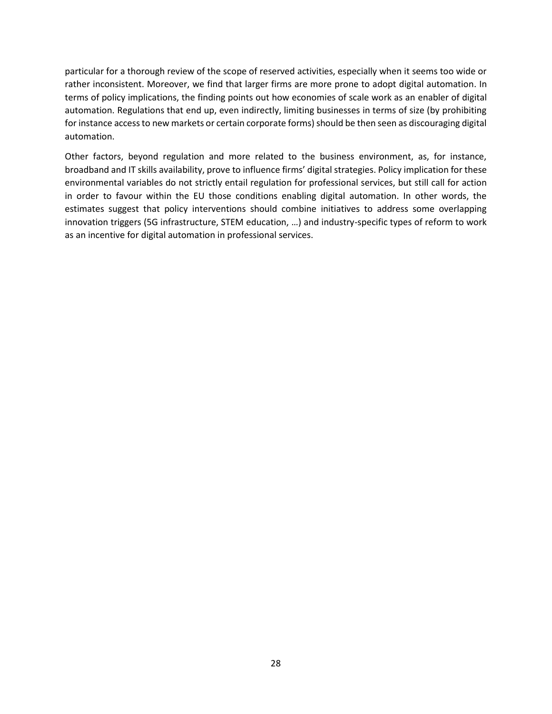particular for a thorough review of the scope of reserved activities, especially when it seems too wide or rather inconsistent. Moreover, we find that larger firms are more prone to adopt digital automation. In terms of policy implications, the finding points out how economies of scale work as an enabler of digital automation. Regulations that end up, even indirectly, limiting businesses in terms of size (by prohibiting for instance access to new markets or certain corporate forms) should be then seen as discouraging digital automation.

Other factors, beyond regulation and more related to the business environment, as, for instance, broadband and IT skills availability, prove to influence firms' digital strategies. Policy implication for these environmental variables do not strictly entail regulation for professional services, but still call for action in order to favour within the EU those conditions enabling digital automation. In other words, the estimates suggest that policy interventions should combine initiatives to address some overlapping innovation triggers (5G infrastructure, STEM education, …) and industry-specific types of reform to work as an incentive for digital automation in professional services.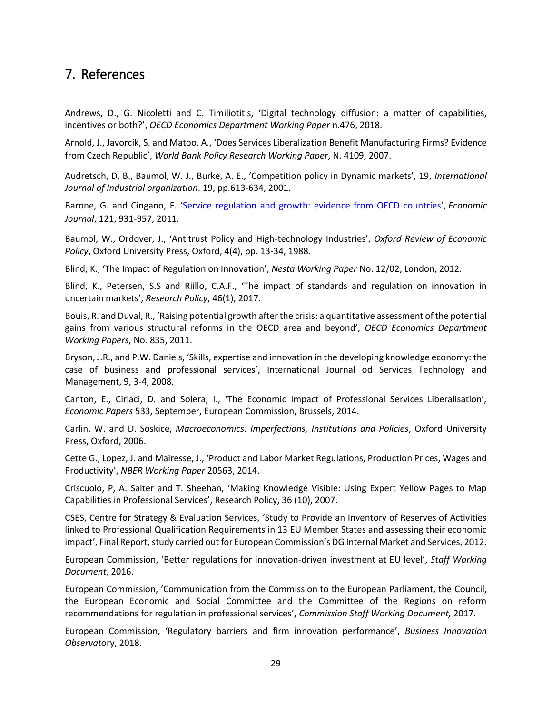## <span id="page-28-0"></span>7. References

Andrews, D., G. Nicoletti and C. Timiliotitis, 'Digital technology diffusion: a matter of capabilities, incentives or both?', *OECD Economics Department Working Paper* n.476, 2018.

Arnold, J., Javorcik, S. and Matoo. A., 'Does Services Liberalization Benefit Manufacturing Firms? Evidence from Czech Republic', *World Bank Policy Research Working Paper*, N. 4109, 2007.

Audretsch, D, B., Baumol, W. J., Burke, A. E., 'Competition policy in Dynamic markets', 19, *International Journal of Industrial organization*. 19, pp.613-634, 2001.

Barone, G. and Cingano, F. '[Service regulation and growth: evidence from OECD countries](https://ideas.repec.org/p/bdi/wptemi/td_675_08.html)', *Economic Journal*, 121, 931-957, 2011.

Baumol, W., Ordover, J., 'Antitrust Policy and High-technology Industries', *Oxford Review of Economic Policy*, Oxford University Press, Oxford, 4(4), pp. 13-34, 1988.

Blind, K., 'The Impact of Regulation on Innovation', *Nesta Working Paper* No. 12/02, London, 2012.

Blind, K., Petersen, S.S and Riillo, C.A.F., 'The impact of standards and regulation on innovation in uncertain markets', *Research Policy*, 46(1), 2017.

Bouis, R. and Duval, R., 'Raising potential growth after the crisis: a quantitative assessment of the potential gains from various structural reforms in the OECD area and beyond', *OECD Economics Department Working Papers*, No. 835, 2011.

Bryson, J.R., and P.W. Daniels, 'Skills, expertise and innovation in the developing knowledge economy: the case of business and professional services', International Journal od Services Technology and Management, 9, 3-4, 2008.

Canton, E., Ciriaci, D. and Solera, I., 'The Economic Impact of Professional Services Liberalisation', *Economic Papers* 533, September, European Commission, Brussels, 2014.

Carlin, W. and D. Soskice, *Macroeconomics: Imperfections, Institutions and Policies*, Oxford University Press, Oxford, 2006.

Cette G., Lopez, J. and Mairesse, J., 'Product and Labor Market Regulations, Production Prices, Wages and Productivity', *NBER Working Paper* 20563, 2014.

Criscuolo, P, A. Salter and T. Sheehan, 'Making Knowledge Visible: Using Expert Yellow Pages to Map Capabilities in Professional Services', Research Policy, 36 (10), 2007.

CSES, Centre for Strategy & Evaluation Services, 'Study to Provide an Inventory of Reserves of Activities linked to Professional Qualification Requirements in 13 EU Member States and assessing their economic impact', Final Report, study carried out for European Commission's DG Internal Market and Services, 2012.

European Commission, 'Better regulations for innovation-driven investment at EU level', *Staff Working Document*, 2016.

European Commission, 'Communication from the Commission to the European Parliament, the Council, the European Economic and Social Committee and the Committee of the Regions on reform recommendations for regulation in professional services', *Commission Staff Working Document,* 2017.

European Commission, 'Regulatory barriers and firm innovation performance', *Business Innovation Observat*ory, 2018.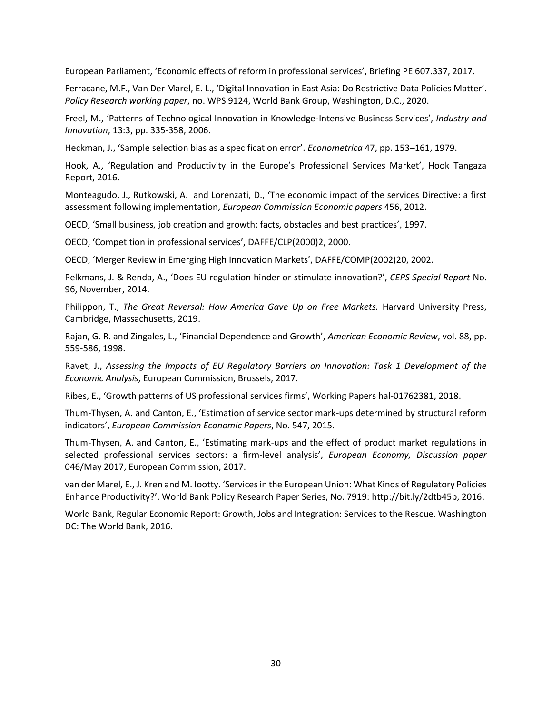European Parliament, 'Economic effects of reform in professional services', Briefing PE 607.337, 2017.

Ferracane, M.F., Van Der Marel, E. L., 'Digital Innovation in East Asia: Do Restrictive Data Policies Matter'. *Policy Research working paper*, no. WPS 9124, World Bank Group, Washington, D.C., 2020.

Freel, M., 'Patterns of Technological Innovation in Knowledge‐Intensive Business Services', *Industry and Innovation*, 13:3, pp. 335-358, 2006.

Heckman, J., 'Sample selection bias as a specification error'. *Econometrica* 47, pp. 153–161, 1979.

Hook, A., 'Regulation and Productivity in the Europe's Professional Services Market', Hook Tangaza Report, 2016.

Monteagudo, J., Rutkowski, A. and Lorenzati, D., 'The economic impact of the services Directive: a first assessment following implementation, *European Commission Economic papers* 456, 2012.

OECD, 'Small business, job creation and growth: facts, obstacles and best practices', 1997.

OECD, 'Competition in professional services', DAFFE/CLP(2000)2, 2000.

OECD, 'Merger Review in Emerging High Innovation Markets', DAFFE/COMP(2002)20, 2002.

Pelkmans, J. & Renda, A., 'Does EU regulation hinder or stimulate innovation?', *CEPS Special Report* No. 96, November, 2014.

Philippon, T., *The Great Reversal: How America Gave Up on Free Markets.* Harvard University Press, Cambridge, Massachusetts, 2019.

Rajan, G. R. and Zingales, L., 'Financial Dependence and Growth', *American Economic Review*, vol. 88, pp. 559-586, 1998.

Ravet, J., *Assessing the Impacts of EU Regulatory Barriers on Innovation: Task 1 Development of the Economic Analysis*, European Commission, Brussels, 2017.

Ribes, E., 'Growth patterns of US professional services firms', Working Papers hal-01762381, 2018.

Thum-Thysen, A. and Canton, E., 'Estimation of service sector mark-ups determined by structural reform indicators', *European Commission Economic Papers*, No. 547, 2015.

Thum-Thysen, A. and Canton, E., 'Estimating mark-ups and the effect of product market regulations in selected professional services sectors: a firm-level analysis', *European Economy, Discussion paper* 046/May 2017, European Commission, 2017.

van der Marel, E., J. Kren and M. Iootty. 'Services in the European Union: What Kinds of Regulatory Policies Enhance Productivity?'. World Bank Policy Research Paper Series, No. 7919: http://bit.ly/2dtb45p, 2016.

World Bank, Regular Economic Report: Growth, Jobs and Integration: Services to the Rescue. Washington DC: The World Bank, 2016.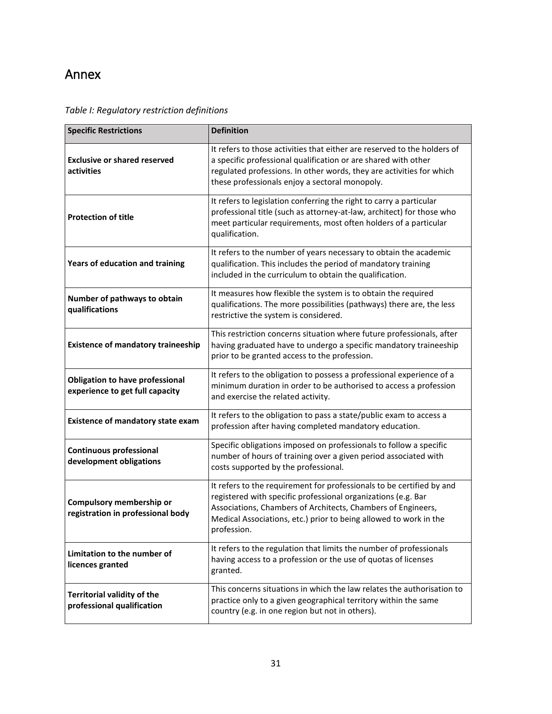## <span id="page-30-0"></span>Annex

## *Table I: Regulatory restriction definitions*

| <b>Specific Restrictions</b>                                              | <b>Definition</b>                                                                                                                                                                                                                                                                          |
|---------------------------------------------------------------------------|--------------------------------------------------------------------------------------------------------------------------------------------------------------------------------------------------------------------------------------------------------------------------------------------|
| <b>Exclusive or shared reserved</b><br>activities                         | It refers to those activities that either are reserved to the holders of<br>a specific professional qualification or are shared with other<br>regulated professions. In other words, they are activities for which<br>these professionals enjoy a sectoral monopoly.                       |
| <b>Protection of title</b>                                                | It refers to legislation conferring the right to carry a particular<br>professional title (such as attorney-at-law, architect) for those who<br>meet particular requirements, most often holders of a particular<br>qualification.                                                         |
| Years of education and training                                           | It refers to the number of years necessary to obtain the academic<br>qualification. This includes the period of mandatory training<br>included in the curriculum to obtain the qualification.                                                                                              |
| Number of pathways to obtain<br>qualifications                            | It measures how flexible the system is to obtain the required<br>qualifications. The more possibilities (pathways) there are, the less<br>restrictive the system is considered.                                                                                                            |
| <b>Existence of mandatory traineeship</b>                                 | This restriction concerns situation where future professionals, after<br>having graduated have to undergo a specific mandatory traineeship<br>prior to be granted access to the profession.                                                                                                |
| <b>Obligation to have professional</b><br>experience to get full capacity | It refers to the obligation to possess a professional experience of a<br>minimum duration in order to be authorised to access a profession<br>and exercise the related activity.                                                                                                           |
| <b>Existence of mandatory state exam</b>                                  | It refers to the obligation to pass a state/public exam to access a<br>profession after having completed mandatory education.                                                                                                                                                              |
| <b>Continuous professional</b><br>development obligations                 | Specific obligations imposed on professionals to follow a specific<br>number of hours of training over a given period associated with<br>costs supported by the professional.                                                                                                              |
| Compulsory membership or<br>registration in professional body             | It refers to the requirement for professionals to be certified by and<br>registered with specific professional organizations (e.g. Bar<br>Associations, Chambers of Architects, Chambers of Engineers,<br>Medical Associations, etc.) prior to being allowed to work in the<br>profession. |
| Limitation to the number of<br>licences granted                           | It refers to the regulation that limits the number of professionals<br>having access to a profession or the use of quotas of licenses<br>granted.                                                                                                                                          |
| <b>Territorial validity of the</b><br>professional qualification          | This concerns situations in which the law relates the authorisation to<br>practice only to a given geographical territory within the same<br>country (e.g. in one region but not in others).                                                                                               |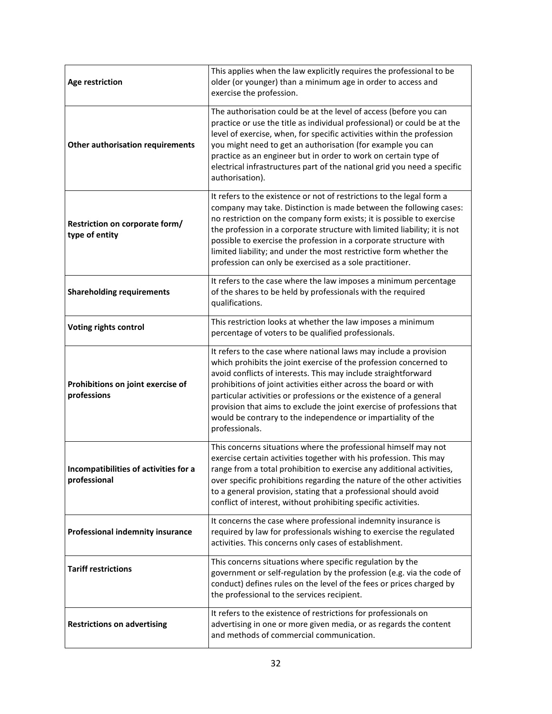| <b>Age restriction</b>                                | This applies when the law explicitly requires the professional to be<br>older (or younger) than a minimum age in order to access and<br>exercise the profession.                                                                                                                                                                                                                                                                                                                                              |
|-------------------------------------------------------|---------------------------------------------------------------------------------------------------------------------------------------------------------------------------------------------------------------------------------------------------------------------------------------------------------------------------------------------------------------------------------------------------------------------------------------------------------------------------------------------------------------|
| <b>Other authorisation requirements</b>               | The authorisation could be at the level of access (before you can<br>practice or use the title as individual professional) or could be at the<br>level of exercise, when, for specific activities within the profession<br>you might need to get an authorisation (for example you can<br>practice as an engineer but in order to work on certain type of<br>electrical infrastructures part of the national grid you need a specific<br>authorisation).                                                      |
| Restriction on corporate form/<br>type of entity      | It refers to the existence or not of restrictions to the legal form a<br>company may take. Distinction is made between the following cases:<br>no restriction on the company form exists; it is possible to exercise<br>the profession in a corporate structure with limited liability; it is not<br>possible to exercise the profession in a corporate structure with<br>limited liability; and under the most restrictive form whether the<br>profession can only be exercised as a sole practitioner.      |
| <b>Shareholding requirements</b>                      | It refers to the case where the law imposes a minimum percentage<br>of the shares to be held by professionals with the required<br>qualifications.                                                                                                                                                                                                                                                                                                                                                            |
| <b>Voting rights control</b>                          | This restriction looks at whether the law imposes a minimum<br>percentage of voters to be qualified professionals.                                                                                                                                                                                                                                                                                                                                                                                            |
| Prohibitions on joint exercise of<br>professions      | It refers to the case where national laws may include a provision<br>which prohibits the joint exercise of the profession concerned to<br>avoid conflicts of interests. This may include straightforward<br>prohibitions of joint activities either across the board or with<br>particular activities or professions or the existence of a general<br>provision that aims to exclude the joint exercise of professions that<br>would be contrary to the independence or impartiality of the<br>professionals. |
| Incompatibilities of activities for a<br>professional | This concerns situations where the professional himself may not<br>exercise certain activities together with his profession. This may<br>range from a total prohibition to exercise any additional activities,<br>over specific prohibitions regarding the nature of the other activities<br>to a general provision, stating that a professional should avoid<br>conflict of interest, without prohibiting specific activities.                                                                               |
| <b>Professional indemnity insurance</b>               | It concerns the case where professional indemnity insurance is<br>required by law for professionals wishing to exercise the regulated<br>activities. This concerns only cases of establishment.                                                                                                                                                                                                                                                                                                               |
| <b>Tariff restrictions</b>                            | This concerns situations where specific regulation by the<br>government or self-regulation by the profession (e.g. via the code of<br>conduct) defines rules on the level of the fees or prices charged by<br>the professional to the services recipient.                                                                                                                                                                                                                                                     |
| <b>Restrictions on advertising</b>                    | It refers to the existence of restrictions for professionals on<br>advertising in one or more given media, or as regards the content<br>and methods of commercial communication.                                                                                                                                                                                                                                                                                                                              |